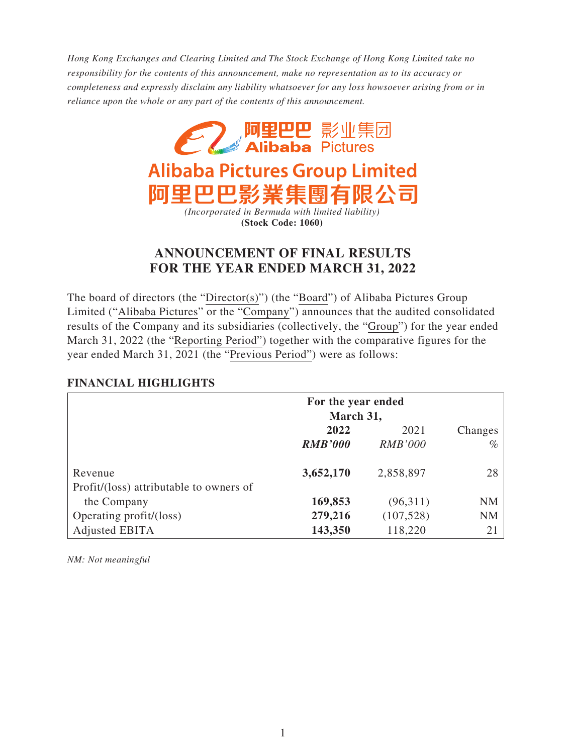*Hong Kong Exchanges and Clearing Limited and The Stock Exchange of Hong Kong Limited take no responsibility for the contents of this announcement, make no representation as to its accuracy or completeness and expressly disclaim any liability whatsoever for any loss howsoever arising from or in reliance upon the whole or any part of the contents of this announcement.*



# **ANNOUNCEMENT OF FINAL RESULTS FOR THE YEAR ENDED MARCH 31, 2022**

The board of directors (the "Director(s)") (the "Board") of Alibaba Pictures Group Limited ("Alibaba Pictures" or the "Company") announces that the audited consolidated results of the Company and its subsidiaries (collectively, the "Group") for the year ended March 31, 2022 (the "Reporting Period") together with the comparative figures for the year ended March 31, 2021 (the "Previous Period") were as follows:

## **FINANCIAL HIGHLIGHTS**

|                                         | For the year ended<br>March 31, |                |         |
|-----------------------------------------|---------------------------------|----------------|---------|
|                                         | 2022                            | 2021           | Changes |
|                                         | <b>RMB'000</b>                  | <b>RMB'000</b> | $\%$    |
| Revenue                                 | 3,652,170                       | 2,858,897      | 28      |
| Profit/(loss) attributable to owners of | 169,853                         | (96,311)       | NM      |
| the Company                             |                                 |                |         |
| Operating profit/(loss)                 | 279,216                         | (107, 528)     | NM      |
| Adjusted EBITA                          | 143,350                         | 118,220        | 21      |

*NM: Not meaningful*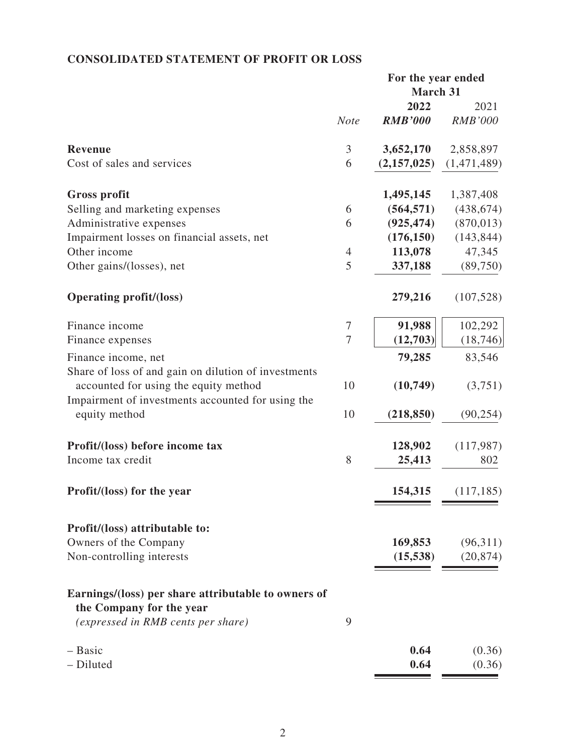# **CONSOLIDATED STATEMENT OF PROFIT OR LOSS**

|                                                                                               | For the year ended |                 |                |
|-----------------------------------------------------------------------------------------------|--------------------|-----------------|----------------|
|                                                                                               |                    | <b>March 31</b> |                |
|                                                                                               |                    | 2022            | 2021           |
|                                                                                               | <b>Note</b>        | <b>RMB'000</b>  | <b>RMB'000</b> |
| <b>Revenue</b>                                                                                | 3                  | 3,652,170       | 2,858,897      |
| Cost of sales and services                                                                    | 6                  | (2,157,025)     | (1,471,489)    |
| <b>Gross profit</b>                                                                           |                    | 1,495,145       | 1,387,408      |
| Selling and marketing expenses                                                                | 6                  | (564, 571)      | (438, 674)     |
| Administrative expenses                                                                       | 6                  | (925, 474)      | (870, 013)     |
| Impairment losses on financial assets, net                                                    |                    | (176, 150)      | (143, 844)     |
| Other income                                                                                  | $\overline{4}$     | 113,078         | 47,345         |
| Other gains/(losses), net                                                                     | 5                  | 337,188         | (89,750)       |
| <b>Operating profit/(loss)</b>                                                                |                    | 279,216         | (107, 528)     |
| Finance income                                                                                | $\overline{7}$     | 91,988          | 102,292        |
| Finance expenses                                                                              | $\overline{7}$     | (12,703)        | (18, 746)      |
| Finance income, net                                                                           |                    | 79,285          | 83,546         |
| Share of loss of and gain on dilution of investments<br>accounted for using the equity method | 10                 | (10,749)        | (3,751)        |
| Impairment of investments accounted for using the<br>equity method                            | 10                 | (218, 850)      | (90, 254)      |
| Profit/(loss) before income tax                                                               |                    | 128,902         | (117,987)      |
| Income tax credit                                                                             | 8                  | 25,413          | 802            |
| Profit/(loss) for the year                                                                    |                    | 154,315         | (117, 185)     |
| Profit/(loss) attributable to:                                                                |                    |                 |                |
| Owners of the Company                                                                         |                    | 169,853         | (96,311)       |
| Non-controlling interests                                                                     |                    | (15, 538)       | (20, 874)      |
| Earnings/(loss) per share attributable to owners of<br>the Company for the year               |                    |                 |                |
| <i>(expressed in RMB cents per share)</i>                                                     | 9                  |                 |                |
| - Basic                                                                                       |                    | 0.64            | (0.36)         |
| - Diluted                                                                                     |                    | 0.64            | (0.36)         |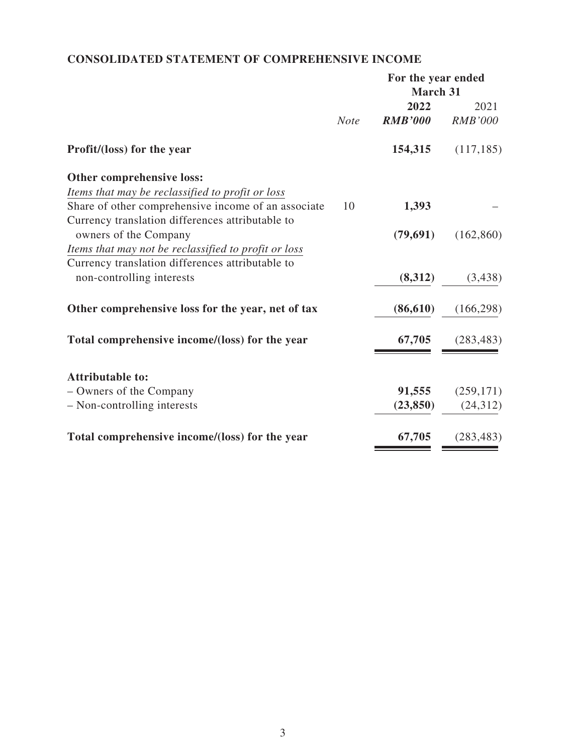# **CONSOLIDATED STATEMENT OF COMPREHENSIVE INCOME**

|                                                      |             | For the year ended |                |
|------------------------------------------------------|-------------|--------------------|----------------|
|                                                      |             | <b>March 31</b>    |                |
|                                                      |             | 2022               | 2021           |
|                                                      | <b>Note</b> | <b>RMB'000</b>     | <b>RMB'000</b> |
| Profit/(loss) for the year                           |             | 154,315            | (117, 185)     |
| Other comprehensive loss:                            |             |                    |                |
| Items that may be reclassified to profit or loss     |             |                    |                |
| Share of other comprehensive income of an associate  | 10          | 1,393              |                |
| Currency translation differences attributable to     |             |                    |                |
| owners of the Company                                |             | (79,691)           | (162, 860)     |
| Items that may not be reclassified to profit or loss |             |                    |                |
| Currency translation differences attributable to     |             |                    |                |
| non-controlling interests                            |             | (8,312)            | (3,438)        |
| Other comprehensive loss for the year, net of tax    |             | (86, 610)          | (166, 298)     |
| Total comprehensive income/(loss) for the year       |             | 67,705             | (283, 483)     |
| <b>Attributable to:</b>                              |             |                    |                |
| - Owners of the Company                              |             | 91,555             | (259, 171)     |
| - Non-controlling interests                          |             | (23, 850)          | (24, 312)      |
|                                                      |             |                    |                |
| Total comprehensive income/(loss) for the year       |             | 67,705             | (283, 483)     |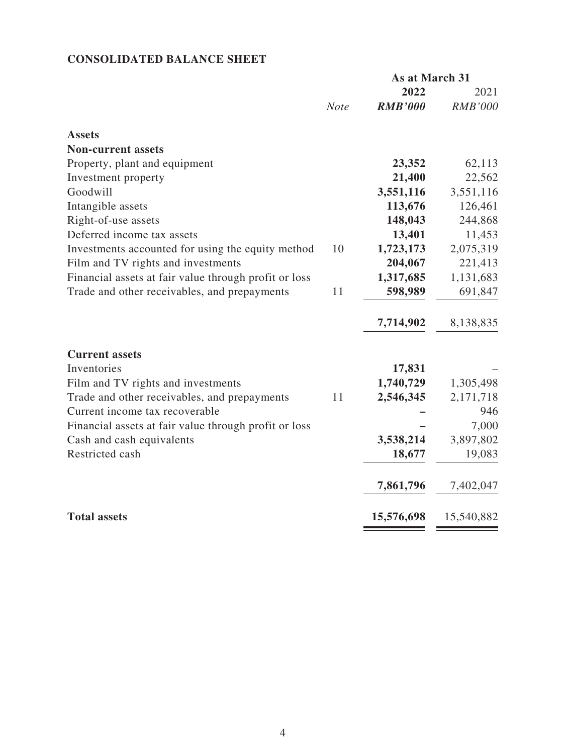# **CONSOLIDATED BALANCE SHEET**

|                                                       | As at March 31 |                |                |
|-------------------------------------------------------|----------------|----------------|----------------|
|                                                       |                | 2022           | 2021           |
|                                                       | <b>Note</b>    | <b>RMB'000</b> | <b>RMB'000</b> |
| <b>Assets</b>                                         |                |                |                |
| <b>Non-current assets</b>                             |                |                |                |
| Property, plant and equipment                         |                | 23,352         | 62,113         |
| Investment property                                   |                | 21,400         | 22,562         |
| Goodwill                                              |                | 3,551,116      | 3,551,116      |
| Intangible assets                                     |                | 113,676        | 126,461        |
| Right-of-use assets                                   |                | 148,043        | 244,868        |
| Deferred income tax assets                            |                | 13,401         | 11,453         |
| Investments accounted for using the equity method     | 10             | 1,723,173      | 2,075,319      |
| Film and TV rights and investments                    |                | 204,067        | 221,413        |
| Financial assets at fair value through profit or loss |                | 1,317,685      | 1,131,683      |
| Trade and other receivables, and prepayments          | 11             | 598,989        | 691,847        |
|                                                       |                | 7,714,902      | 8,138,835      |
| <b>Current assets</b>                                 |                |                |                |
| Inventories                                           |                | 17,831         |                |
| Film and TV rights and investments                    |                | 1,740,729      | 1,305,498      |
| Trade and other receivables, and prepayments          | 11             | 2,546,345      | 2,171,718      |
| Current income tax recoverable                        |                |                | 946            |
| Financial assets at fair value through profit or loss |                |                | 7,000          |
| Cash and cash equivalents                             |                | 3,538,214      | 3,897,802      |
| Restricted cash                                       |                | 18,677         | 19,083         |
|                                                       |                | 7,861,796      | 7,402,047      |
| <b>Total assets</b>                                   |                | 15,576,698     | 15,540,882     |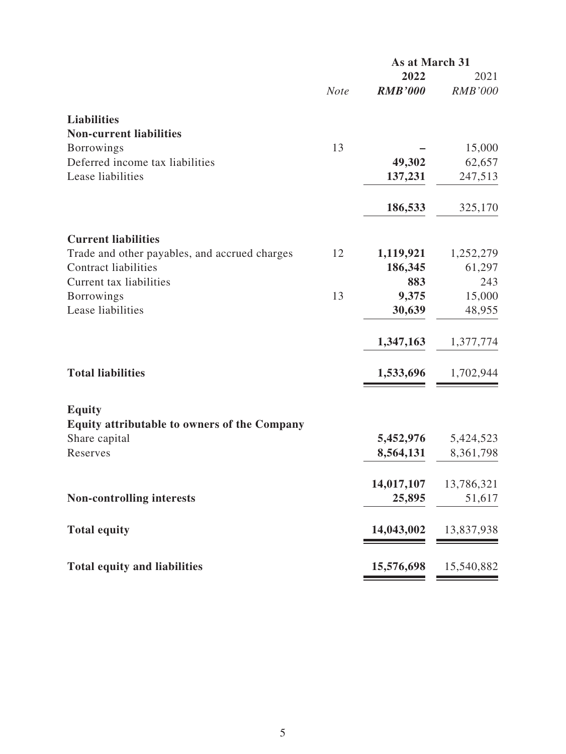|                                                                              | As at March 31 |                      |                |
|------------------------------------------------------------------------------|----------------|----------------------|----------------|
|                                                                              |                | 2022                 | 2021           |
|                                                                              | <b>Note</b>    | <b>RMB'000</b>       | <b>RMB'000</b> |
| <b>Liabilities</b>                                                           |                |                      |                |
| <b>Non-current liabilities</b>                                               |                |                      |                |
| <b>Borrowings</b>                                                            | 13             |                      | 15,000         |
| Deferred income tax liabilities                                              |                | 49,302               | 62,657         |
| Lease liabilities                                                            |                | 137,231              | 247,513        |
|                                                                              |                | 186,533              | 325,170        |
|                                                                              |                |                      |                |
| <b>Current liabilities</b>                                                   | 12             |                      | 1,252,279      |
| Trade and other payables, and accrued charges<br><b>Contract liabilities</b> |                | 1,119,921<br>186,345 | 61,297         |
| Current tax liabilities                                                      |                | 883                  | 243            |
| <b>Borrowings</b>                                                            | 13             | 9,375                | 15,000         |
| Lease liabilities                                                            |                | 30,639               | 48,955         |
|                                                                              |                |                      |                |
|                                                                              |                | 1,347,163            | 1,377,774      |
| <b>Total liabilities</b>                                                     |                | 1,533,696            | 1,702,944      |
| <b>Equity</b>                                                                |                |                      |                |
| <b>Equity attributable to owners of the Company</b>                          |                |                      |                |
| Share capital                                                                |                | 5,452,976            | 5,424,523      |
| Reserves                                                                     |                | 8,564,131            | 8,361,798      |
|                                                                              |                | 14,017,107           | 13,786,321     |
| <b>Non-controlling interests</b>                                             |                | 25,895               | 51,617         |
| <b>Total equity</b>                                                          |                | 14,043,002           | 13,837,938     |
| <b>Total equity and liabilities</b>                                          |                | 15,576,698           | 15,540,882     |
|                                                                              |                |                      |                |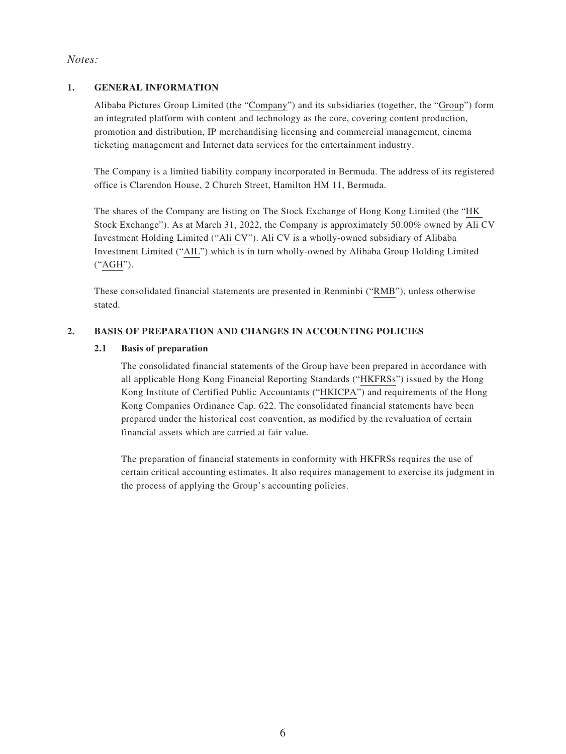### *Notes:*

### **1. GENERAL INFORMATION**

Alibaba Pictures Group Limited (the "Company") and its subsidiaries (together, the "Group") form an integrated platform with content and technology as the core, covering content production, promotion and distribution, IP merchandising licensing and commercial management, cinema ticketing management and Internet data services for the entertainment industry.

The Company is a limited liability company incorporated in Bermuda. The address of its registered office is Clarendon House, 2 Church Street, Hamilton HM 11, Bermuda.

The shares of the Company are listing on The Stock Exchange of Hong Kong Limited (the "HK Stock Exchange"). As at March 31, 2022, the Company is approximately 50.00% owned by Ali CV Investment Holding Limited ("Ali CV"). Ali CV is a wholly-owned subsidiary of Alibaba Investment Limited ("AIL") which is in turn wholly-owned by Alibaba Group Holding Limited ("AGH").

These consolidated financial statements are presented in Renminbi ("RMB"), unless otherwise stated.

### **2. BASIS OF PREPARATION AND CHANGES IN ACCOUNTING POLICIES**

#### **2.1 Basis of preparation**

The consolidated financial statements of the Group have been prepared in accordance with all applicable Hong Kong Financial Reporting Standards ("HKFRSs") issued by the Hong Kong Institute of Certified Public Accountants ("HKICPA") and requirements of the Hong Kong Companies Ordinance Cap. 622. The consolidated financial statements have been prepared under the historical cost convention, as modified by the revaluation of certain financial assets which are carried at fair value.

The preparation of financial statements in conformity with HKFRSs requires the use of certain critical accounting estimates. It also requires management to exercise its judgment in the process of applying the Group's accounting policies.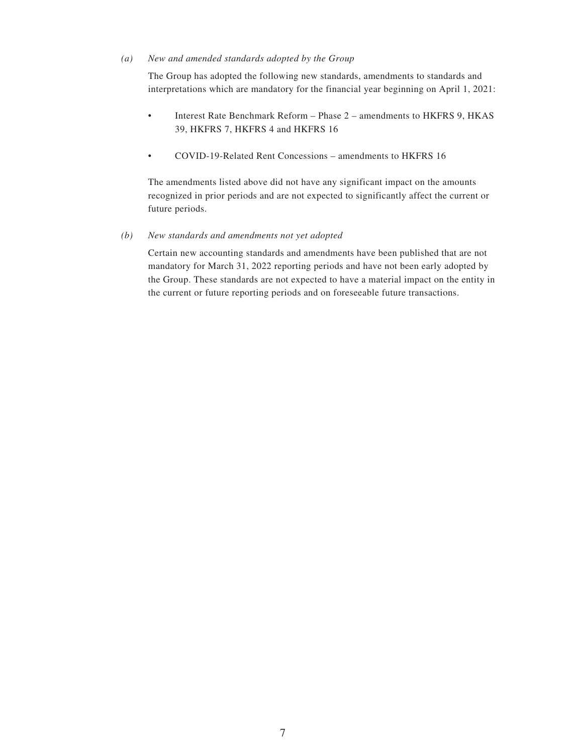#### *(a) New and amended standards adopted by the Group*

The Group has adopted the following new standards, amendments to standards and interpretations which are mandatory for the financial year beginning on April 1, 2021:

- Interest Rate Benchmark Reform Phase 2 amendments to HKFRS 9, HKAS 39, HKFRS 7, HKFRS 4 and HKFRS 16
- COVID-19-Related Rent Concessions amendments to HKFRS 16

The amendments listed above did not have any significant impact on the amounts recognized in prior periods and are not expected to significantly affect the current or future periods.

*(b) New standards and amendments not yet adopted*

Certain new accounting standards and amendments have been published that are not mandatory for March 31, 2022 reporting periods and have not been early adopted by the Group. These standards are not expected to have a material impact on the entity in the current or future reporting periods and on foreseeable future transactions.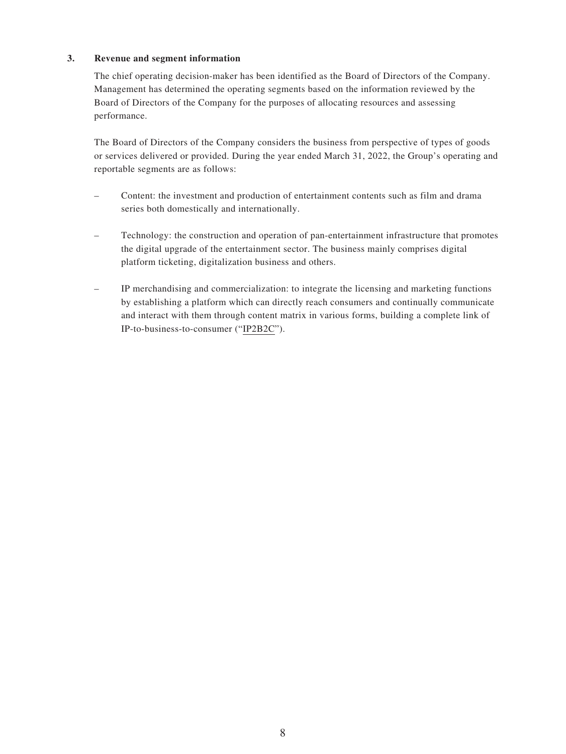#### **3. Revenue and segment information**

The chief operating decision-maker has been identified as the Board of Directors of the Company. Management has determined the operating segments based on the information reviewed by the Board of Directors of the Company for the purposes of allocating resources and assessing performance.

The Board of Directors of the Company considers the business from perspective of types of goods or services delivered or provided. During the year ended March 31, 2022, the Group's operating and reportable segments are as follows:

- Content: the investment and production of entertainment contents such as film and drama series both domestically and internationally.
- Technology: the construction and operation of pan-entertainment infrastructure that promotes the digital upgrade of the entertainment sector. The business mainly comprises digital platform ticketing, digitalization business and others.
- IP merchandising and commercialization: to integrate the licensing and marketing functions by establishing a platform which can directly reach consumers and continually communicate and interact with them through content matrix in various forms, building a complete link of IP-to-business-to-consumer ("IP2B2C").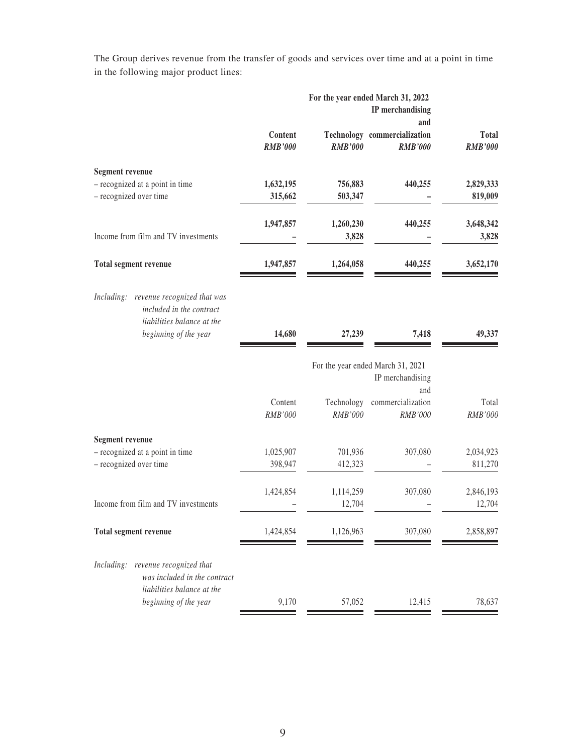The Group derives revenue from the transfer of goods and services over time and at a point in time in the following major product lines:

|                                                                                                                              | For the year ended March 31, 2022<br>IP merchandising<br>and |                       |                                                              |                                |
|------------------------------------------------------------------------------------------------------------------------------|--------------------------------------------------------------|-----------------------|--------------------------------------------------------------|--------------------------------|
|                                                                                                                              | Content<br><b>RMB'000</b>                                    | <b>RMB'000</b>        | Technology commercialization<br><b>RMB'000</b>               | <b>Total</b><br><b>RMB'000</b> |
| <b>Segment revenue</b><br>- recognized at a point in time                                                                    | 1,632,195                                                    | 756,883               | 440,255                                                      | 2,829,333                      |
| - recognized over time                                                                                                       | 315,662                                                      | 503,347               |                                                              | 819,009                        |
| Income from film and TV investments                                                                                          | 1,947,857                                                    | 1,260,230<br>3,828    | 440,255                                                      | 3,648,342<br>3,828             |
| Total segment revenue                                                                                                        | 1,947,857                                                    | 1,264,058             | 440,255                                                      | 3,652,170                      |
| Including:<br>revenue recognized that was<br>included in the contract<br>liabilities balance at the<br>beginning of the year | 14,680                                                       | 27,239                | 7,418                                                        | 49,337                         |
|                                                                                                                              |                                                              |                       | For the year ended March 31, 2021<br>IP merchandising<br>and |                                |
|                                                                                                                              | Content<br>RMB'000                                           | Technology<br>RMB'000 | commercialization<br>RMB'000                                 | Total<br>RMB'000               |
| <b>Segment revenue</b>                                                                                                       |                                                              |                       |                                                              |                                |
| - recognized at a point in time<br>- recognized over time                                                                    | 1,025,907<br>398,947                                         | 701,936<br>412,323    | 307,080                                                      | 2,034,923<br>811,270           |
| Income from film and TV investments                                                                                          | 1,424,854                                                    | 1,114,259<br>12,704   | 307,080                                                      | 2,846,193<br>12,704            |
| Total segment revenue                                                                                                        | 1,424,854                                                    | 1,126,963             | 307,080                                                      | 2,858,897                      |
| Including:<br>revenue recognized that<br>was included in the contract                                                        |                                                              |                       |                                                              |                                |
| liabilities balance at the<br>beginning of the year                                                                          | 9,170                                                        | 57,052                | 12,415                                                       | 78,637                         |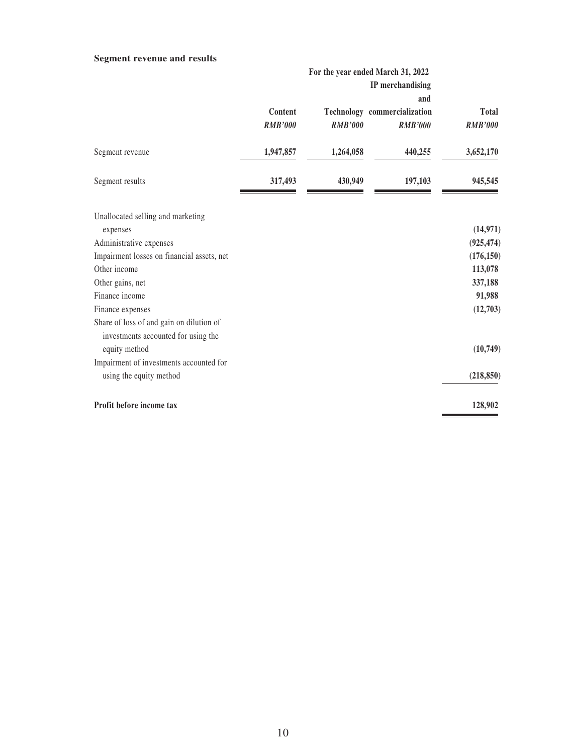### **Segment revenue and results**

|                                                                                 | For the year ended March 31, 2022<br>IP merchandising |                |                                                              |                         |
|---------------------------------------------------------------------------------|-------------------------------------------------------|----------------|--------------------------------------------------------------|-------------------------|
|                                                                                 | Content<br><b>RMB'000</b>                             | <b>RMB'000</b> | and<br><b>Technology</b> commercialization<br><b>RMB'000</b> | Total<br><b>RMB'000</b> |
| Segment revenue                                                                 | 1,947,857                                             | 1,264,058      | 440,255                                                      | 3,652,170               |
| Segment results                                                                 | 317,493                                               | 430,949        | 197,103                                                      | 945,545                 |
| Unallocated selling and marketing                                               |                                                       |                |                                                              |                         |
| expenses                                                                        |                                                       |                |                                                              | (14, 971)               |
| Administrative expenses                                                         |                                                       |                |                                                              | (925, 474)              |
| Impairment losses on financial assets, net                                      |                                                       |                |                                                              | (176, 150)              |
| Other income                                                                    |                                                       |                |                                                              | 113,078                 |
| Other gains, net                                                                |                                                       |                |                                                              | 337,188                 |
| Finance income                                                                  |                                                       |                |                                                              | 91,988                  |
| Finance expenses                                                                |                                                       |                |                                                              | (12,703)                |
| Share of loss of and gain on dilution of<br>investments accounted for using the |                                                       |                |                                                              |                         |
| equity method                                                                   |                                                       |                |                                                              | (10, 749)               |
| Impairment of investments accounted for                                         |                                                       |                |                                                              |                         |
| using the equity method                                                         |                                                       |                |                                                              | (218, 850)              |
| Profit before income tax                                                        |                                                       |                |                                                              | 128,902                 |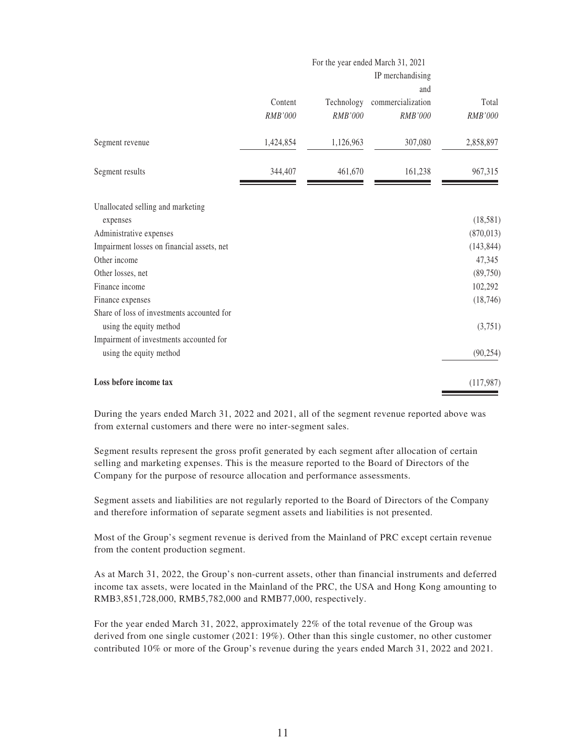|                                                                       |                    |                       | For the year ended March 31, 2021<br>IP merchandising |                  |
|-----------------------------------------------------------------------|--------------------|-----------------------|-------------------------------------------------------|------------------|
|                                                                       |                    |                       | and                                                   |                  |
|                                                                       | Content<br>RMB'000 | Technology<br>RMB'000 | commercialization<br>RMB'000                          | Total<br>RMB'000 |
| Segment revenue                                                       | 1,424,854          | 1,126,963             | 307,080                                               | 2,858,897        |
| Segment results                                                       | 344,407            | 461,670               | 161,238                                               | 967,315          |
| Unallocated selling and marketing<br>expenses                         |                    |                       |                                                       | (18, 581)        |
| Administrative expenses                                               |                    |                       |                                                       | (870, 013)       |
| Impairment losses on financial assets, net                            |                    |                       |                                                       | (143, 844)       |
| Other income                                                          |                    |                       |                                                       | 47,345           |
| Other losses, net                                                     |                    |                       |                                                       | (89, 750)        |
| Finance income                                                        |                    |                       |                                                       | 102,292          |
| Finance expenses                                                      |                    |                       |                                                       | (18, 746)        |
| Share of loss of investments accounted for<br>using the equity method |                    |                       |                                                       | (3,751)          |
| Impairment of investments accounted for                               |                    |                       |                                                       |                  |
| using the equity method                                               |                    |                       |                                                       | (90, 254)        |
| Loss before income tax                                                |                    |                       |                                                       | (117, 987)       |

During the years ended March 31, 2022 and 2021, all of the segment revenue reported above was from external customers and there were no inter-segment sales.

Segment results represent the gross profit generated by each segment after allocation of certain selling and marketing expenses. This is the measure reported to the Board of Directors of the Company for the purpose of resource allocation and performance assessments.

Segment assets and liabilities are not regularly reported to the Board of Directors of the Company and therefore information of separate segment assets and liabilities is not presented.

Most of the Group's segment revenue is derived from the Mainland of PRC except certain revenue from the content production segment.

As at March 31, 2022, the Group's non-current assets, other than financial instruments and deferred income tax assets, were located in the Mainland of the PRC, the USA and Hong Kong amounting to RMB3,851,728,000, RMB5,782,000 and RMB77,000, respectively.

For the year ended March 31, 2022, approximately 22% of the total revenue of the Group was derived from one single customer (2021: 19%). Other than this single customer, no other customer contributed 10% or more of the Group's revenue during the years ended March 31, 2022 and 2021.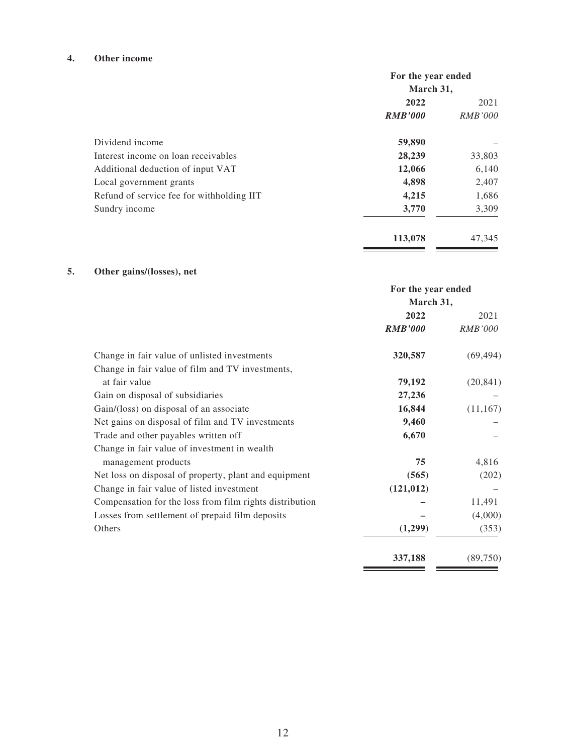#### **4. Other income**

|                                           | For the year ended |                |  |
|-------------------------------------------|--------------------|----------------|--|
|                                           | March 31,          |                |  |
|                                           | 2022               | 2021           |  |
|                                           | <b>RMB'000</b>     | <i>RMB'000</i> |  |
| Dividend income                           | 59,890             |                |  |
| Interest income on loan receivables       | 28,239             | 33,803         |  |
| Additional deduction of input VAT         | 12,066             | 6,140          |  |
| Local government grants                   | 4,898              | 2,407          |  |
| Refund of service fee for withholding IIT | 4,215              | 1,686          |  |
| Sundry income                             | 3,770              | 3,309          |  |
|                                           | 113,078            | 47,345         |  |

## **5. Other gains/(losses), net**

|                                                         | For the year ended |                |  |
|---------------------------------------------------------|--------------------|----------------|--|
|                                                         | March 31,          |                |  |
|                                                         | 2022               | 2021           |  |
|                                                         | <b>RMB'000</b>     | <i>RMB'000</i> |  |
| Change in fair value of unlisted investments            | 320,587            | (69, 494)      |  |
| Change in fair value of film and TV investments,        |                    |                |  |
| at fair value                                           | 79,192             | (20, 841)      |  |
| Gain on disposal of subsidiaries                        | 27,236             |                |  |
| Gain/(loss) on disposal of an associate                 | 16,844             | (11,167)       |  |
| Net gains on disposal of film and TV investments        | 9,460              |                |  |
| Trade and other payables written off                    | 6,670              |                |  |
| Change in fair value of investment in wealth            |                    |                |  |
| management products                                     | 75                 | 4,816          |  |
| Net loss on disposal of property, plant and equipment   | (565)              | (202)          |  |
| Change in fair value of listed investment               | (121, 012)         |                |  |
| Compensation for the loss from film rights distribution |                    | 11,491         |  |
| Losses from settlement of prepaid film deposits         |                    | (4,000)        |  |
| Others                                                  | (1,299)            | (353)          |  |
|                                                         | 337,188            | (89,750)       |  |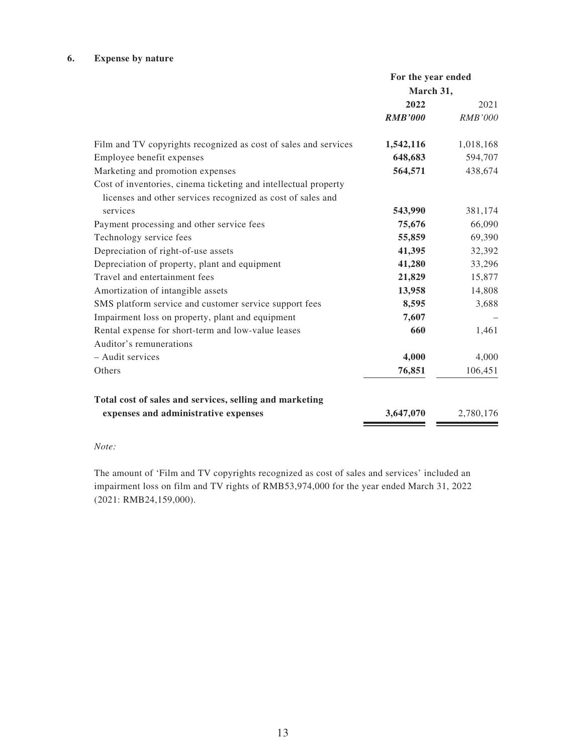#### **6. Expense by nature**

|                                                                                                                                | For the year ended |                |
|--------------------------------------------------------------------------------------------------------------------------------|--------------------|----------------|
|                                                                                                                                | March 31,          |                |
|                                                                                                                                | 2022               | 2021           |
|                                                                                                                                | <b>RMB'000</b>     | <b>RMB'000</b> |
| Film and TV copyrights recognized as cost of sales and services                                                                | 1,542,116          | 1,018,168      |
| Employee benefit expenses                                                                                                      | 648,683            | 594,707        |
| Marketing and promotion expenses                                                                                               | 564,571            | 438,674        |
| Cost of inventories, cinema ticketing and intellectual property<br>licenses and other services recognized as cost of sales and |                    |                |
| services                                                                                                                       | 543,990            | 381,174        |
| Payment processing and other service fees                                                                                      | 75,676             | 66,090         |
| Technology service fees                                                                                                        | 55,859             | 69,390         |
| Depreciation of right-of-use assets                                                                                            | 41,395             | 32,392         |
| Depreciation of property, plant and equipment                                                                                  | 41,280             | 33,296         |
| Travel and entertainment fees                                                                                                  | 21,829             | 15,877         |
| Amortization of intangible assets                                                                                              | 13,958             | 14,808         |
| SMS platform service and customer service support fees                                                                         | 8,595              | 3,688          |
| Impairment loss on property, plant and equipment                                                                               | 7,607              |                |
| Rental expense for short-term and low-value leases                                                                             | 660                | 1,461          |
| Auditor's remunerations                                                                                                        |                    |                |
| - Audit services                                                                                                               | 4,000              | 4,000          |
| Others                                                                                                                         | 76,851             | 106,451        |
| Total cost of sales and services, selling and marketing                                                                        |                    |                |
| expenses and administrative expenses                                                                                           | 3,647,070          | 2,780,176      |

#### *Note:*

The amount of 'Film and TV copyrights recognized as cost of sales and services' included an impairment loss on film and TV rights of RMB53,974,000 for the year ended March 31, 2022 (2021: RMB24,159,000).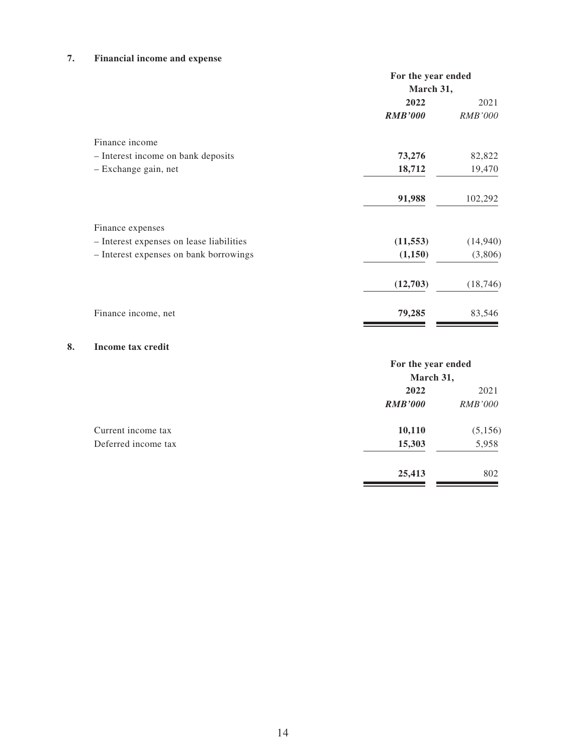### **7. Financial income and expense**

|                                          | For the year ended |                |  |
|------------------------------------------|--------------------|----------------|--|
|                                          | March 31,          |                |  |
|                                          | 2022               | 2021           |  |
|                                          | <b>RMB'000</b>     | <i>RMB'000</i> |  |
| Finance income                           |                    |                |  |
| - Interest income on bank deposits       | 73,276             | 82,822         |  |
| - Exchange gain, net                     | 18,712             | 19,470         |  |
|                                          | 91,988             | 102,292        |  |
| Finance expenses                         |                    |                |  |
| - Interest expenses on lease liabilities | (11, 553)          | (14, 940)      |  |
| - Interest expenses on bank borrowings   | (1,150)            | (3,806)        |  |
|                                          | (12,703)           | (18, 746)      |  |
| Finance income, net                      | 79,285             | 83,546         |  |

#### **8. Income tax credit**

|                     | For the year ended |                |
|---------------------|--------------------|----------------|
|                     | March 31,          |                |
|                     | 2022               | 2021           |
|                     | <b>RMB'000</b>     | <i>RMB'000</i> |
| Current income tax  | 10,110             | (5, 156)       |
| Deferred income tax | 15,303             | 5,958          |
|                     | 25,413             | 802            |
|                     |                    |                |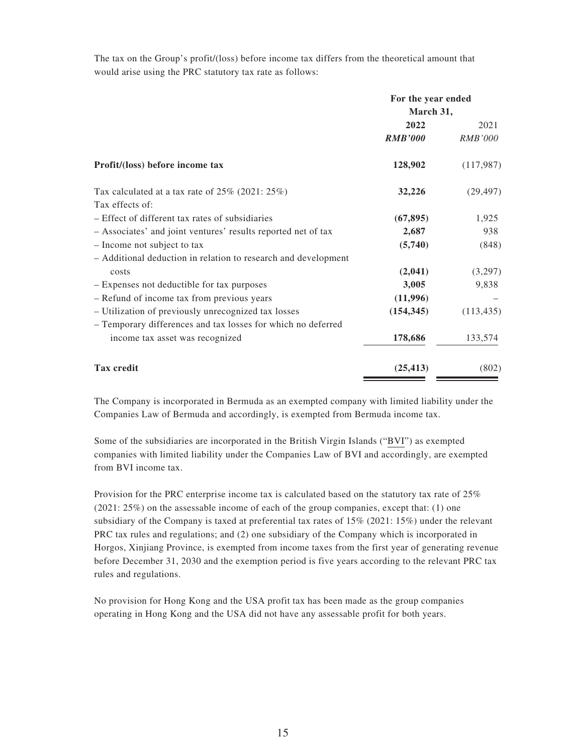The tax on the Group's profit/(loss) before income tax differs from the theoretical amount that would arise using the PRC statutory tax rate as follows:

|                                                                | For the year ended<br>March 31, |                |
|----------------------------------------------------------------|---------------------------------|----------------|
|                                                                |                                 |                |
|                                                                | 2022                            | 2021           |
|                                                                | <b>RMB'000</b>                  | <i>RMB'000</i> |
| Profit/(loss) before income tax                                | 128,902                         | (117,987)      |
| Tax calculated at a tax rate of $25\%$ (2021: $25\%$ )         | 32,226                          | (29, 497)      |
| Tax effects of:                                                |                                 |                |
| - Effect of different tax rates of subsidiaries                | (67, 895)                       | 1,925          |
| - Associates' and joint ventures' results reported net of tax  | 2,687                           | 938            |
| - Income not subject to tax                                    | (5,740)                         | (848)          |
| - Additional deduction in relation to research and development |                                 |                |
| costs                                                          | (2,041)                         | (3,297)        |
| - Expenses not deductible for tax purposes                     | 3,005                           | 9,838          |
| - Refund of income tax from previous years                     | (11,996)                        |                |
| - Utilization of previously unrecognized tax losses            | (154, 345)                      | (113, 435)     |
| - Temporary differences and tax losses for which no deferred   |                                 |                |
| income tax asset was recognized                                | 178,686                         | 133,574        |
| <b>Tax credit</b>                                              | (25, 413)                       | (802)          |

The Company is incorporated in Bermuda as an exempted company with limited liability under the Companies Law of Bermuda and accordingly, is exempted from Bermuda income tax.

Some of the subsidiaries are incorporated in the British Virgin Islands ("BVI") as exempted companies with limited liability under the Companies Law of BVI and accordingly, are exempted from BVI income tax.

Provision for the PRC enterprise income tax is calculated based on the statutory tax rate of 25% (2021: 25%) on the assessable income of each of the group companies, except that: (1) one subsidiary of the Company is taxed at preferential tax rates of 15% (2021: 15%) under the relevant PRC tax rules and regulations; and (2) one subsidiary of the Company which is incorporated in Horgos, Xinjiang Province, is exempted from income taxes from the first year of generating revenue before December 31, 2030 and the exemption period is five years according to the relevant PRC tax rules and regulations.

No provision for Hong Kong and the USA profit tax has been made as the group companies operating in Hong Kong and the USA did not have any assessable profit for both years.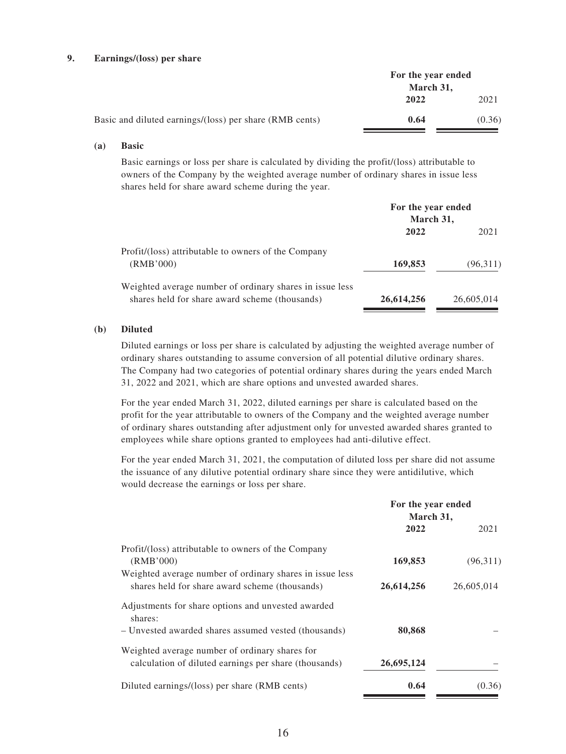#### **9. Earnings/(loss) per share**

|                                                         | For the year ended<br>March 31, |        |
|---------------------------------------------------------|---------------------------------|--------|
|                                                         |                                 |        |
|                                                         | 2022                            | 2021   |
| Basic and diluted earnings/(loss) per share (RMB cents) | 0.64                            | (0.36) |

#### **(a) Basic**

Basic earnings or loss per share is calculated by dividing the profit/(loss) attributable to owners of the Company by the weighted average number of ordinary shares in issue less shares held for share award scheme during the year.

|                                                                                                            | For the year ended<br>March 31, |            |
|------------------------------------------------------------------------------------------------------------|---------------------------------|------------|
|                                                                                                            | 2022                            | 2021       |
| Profit/(loss) attributable to owners of the Company<br>(RMB'000)                                           | 169,853                         | (96,311)   |
| Weighted average number of ordinary shares in issue less<br>shares held for share award scheme (thousands) | 26,614,256                      | 26,605,014 |

#### **(b) Diluted**

Diluted earnings or loss per share is calculated by adjusting the weighted average number of ordinary shares outstanding to assume conversion of all potential dilutive ordinary shares. The Company had two categories of potential ordinary shares during the years ended March 31, 2022 and 2021, which are share options and unvested awarded shares.

For the year ended March 31, 2022, diluted earnings per share is calculated based on the profit for the year attributable to owners of the Company and the weighted average number of ordinary shares outstanding after adjustment only for unvested awarded shares granted to employees while share options granted to employees had anti-dilutive effect.

For the year ended March 31, 2021, the computation of diluted loss per share did not assume the issuance of any dilutive potential ordinary share since they were antidilutive, which would decrease the earnings or loss per share.

|                                                                                                            | For the year ended<br>March 31, |            |
|------------------------------------------------------------------------------------------------------------|---------------------------------|------------|
|                                                                                                            | 2022                            | 2021       |
| Profit/(loss) attributable to owners of the Company<br>(RMB'000)                                           | 169,853                         | (96,311)   |
| Weighted average number of ordinary shares in issue less<br>shares held for share award scheme (thousands) | 26,614,256                      | 26,605,014 |
| Adjustments for share options and unvested awarded<br>shares:                                              |                                 |            |
| - Unvested awarded shares assumed vested (thousands)                                                       | 80,868                          |            |
| Weighted average number of ordinary shares for<br>calculation of diluted earnings per share (thousands)    | 26,695,124                      |            |
| Diluted earnings/(loss) per share (RMB cents)                                                              | 0.64                            | (0.36)     |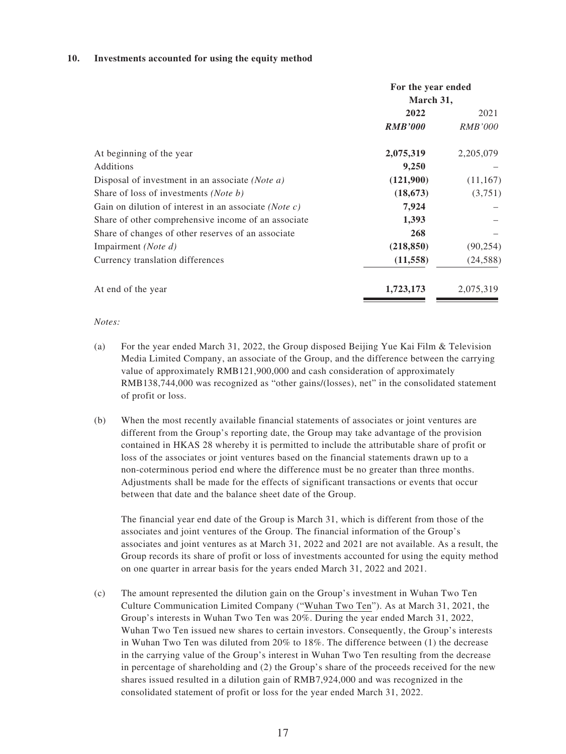#### **10. Investments accounted for using the equity method**

|                                                          | For the year ended<br>March 31, |                |  |
|----------------------------------------------------------|---------------------------------|----------------|--|
|                                                          | 2022                            | 2021           |  |
|                                                          | <b>RMB'000</b>                  | <i>RMB'000</i> |  |
| At beginning of the year                                 | 2,075,319                       | 2, 205, 079    |  |
| Additions                                                | 9,250                           |                |  |
| Disposal of investment in an associate ( <i>Note a</i> ) | (121,900)                       | (11, 167)      |  |
| Share of loss of investments ( <i>Note b</i> )           | (18, 673)                       | (3,751)        |  |
| Gain on dilution of interest in an associate (Note c)    | 7,924                           |                |  |
| Share of other comprehensive income of an associate      | 1,393                           |                |  |
| Share of changes of other reserves of an associate       | 268                             |                |  |
| Impairment ( <i>Note d</i> )                             | (218, 850)                      | (90, 254)      |  |
| Currency translation differences                         | (11, 558)                       | (24, 588)      |  |
| At end of the year                                       | 1,723,173                       | 2,075,319      |  |

*Notes:*

- (a) For the year ended March 31, 2022, the Group disposed Beijing Yue Kai Film & Television Media Limited Company, an associate of the Group, and the difference between the carrying value of approximately RMB121,900,000 and cash consideration of approximately RMB138,744,000 was recognized as "other gains/(losses), net" in the consolidated statement of profit or loss.
- (b) When the most recently available financial statements of associates or joint ventures are different from the Group's reporting date, the Group may take advantage of the provision contained in HKAS 28 whereby it is permitted to include the attributable share of profit or loss of the associates or joint ventures based on the financial statements drawn up to a non-coterminous period end where the difference must be no greater than three months. Adjustments shall be made for the effects of significant transactions or events that occur between that date and the balance sheet date of the Group.

The financial year end date of the Group is March 31, which is different from those of the associates and joint ventures of the Group. The financial information of the Group's associates and joint ventures as at March 31, 2022 and 2021 are not available. As a result, the Group records its share of profit or loss of investments accounted for using the equity method on one quarter in arrear basis for the years ended March 31, 2022 and 2021.

(c) The amount represented the dilution gain on the Group's investment in Wuhan Two Ten Culture Communication Limited Company ("Wuhan Two Ten"). As at March 31, 2021, the Group's interests in Wuhan Two Ten was 20%. During the year ended March 31, 2022, Wuhan Two Ten issued new shares to certain investors. Consequently, the Group's interests in Wuhan Two Ten was diluted from 20% to 18%. The difference between (1) the decrease in the carrying value of the Group's interest in Wuhan Two Ten resulting from the decrease in percentage of shareholding and (2) the Group's share of the proceeds received for the new shares issued resulted in a dilution gain of RMB7,924,000 and was recognized in the consolidated statement of profit or loss for the year ended March 31, 2022.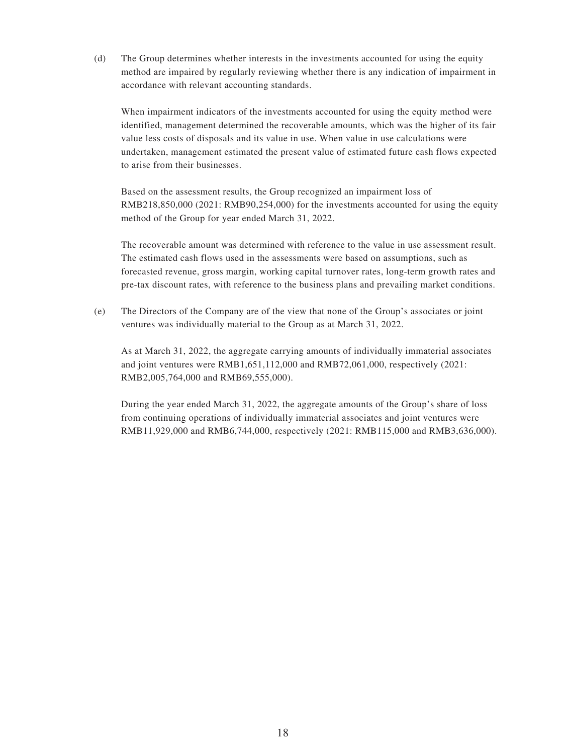(d) The Group determines whether interests in the investments accounted for using the equity method are impaired by regularly reviewing whether there is any indication of impairment in accordance with relevant accounting standards.

When impairment indicators of the investments accounted for using the equity method were identified, management determined the recoverable amounts, which was the higher of its fair value less costs of disposals and its value in use. When value in use calculations were undertaken, management estimated the present value of estimated future cash flows expected to arise from their businesses.

Based on the assessment results, the Group recognized an impairment loss of RMB218,850,000 (2021: RMB90,254,000) for the investments accounted for using the equity method of the Group for year ended March 31, 2022.

The recoverable amount was determined with reference to the value in use assessment result. The estimated cash flows used in the assessments were based on assumptions, such as forecasted revenue, gross margin, working capital turnover rates, long-term growth rates and pre-tax discount rates, with reference to the business plans and prevailing market conditions.

(e) The Directors of the Company are of the view that none of the Group's associates or joint ventures was individually material to the Group as at March 31, 2022.

As at March 31, 2022, the aggregate carrying amounts of individually immaterial associates and joint ventures were RMB1,651,112,000 and RMB72,061,000, respectively (2021: RMB2,005,764,000 and RMB69,555,000).

During the year ended March 31, 2022, the aggregate amounts of the Group's share of loss from continuing operations of individually immaterial associates and joint ventures were RMB11,929,000 and RMB6,744,000, respectively (2021: RMB115,000 and RMB3,636,000).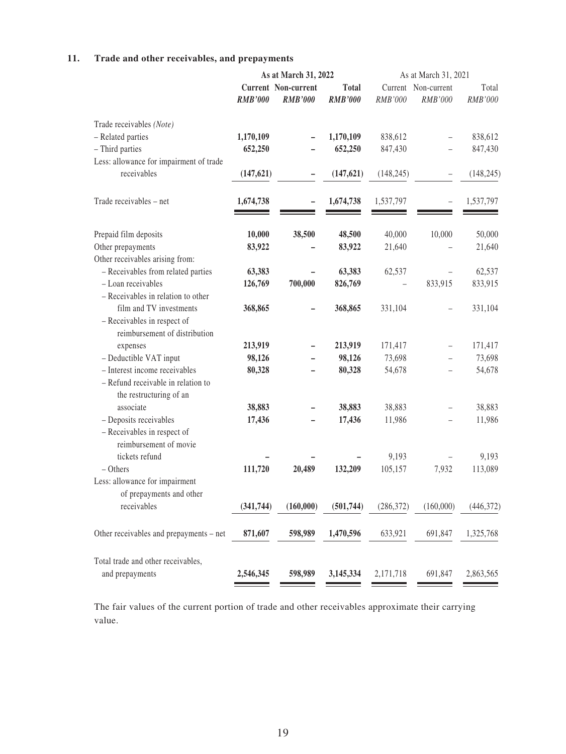### **11. Trade and other receivables, and prepayments**

|                                         |                | As at March 31, 2022       |                | As at March 31, 2021 |             |            |
|-----------------------------------------|----------------|----------------------------|----------------|----------------------|-------------|------------|
|                                         |                | <b>Current Non-current</b> | <b>Total</b>   | Current              | Non-current | Total      |
|                                         | <b>RMB'000</b> | <b>RMB'000</b>             | <b>RMB'000</b> | RMB'000              | RMB'000     | RMB'000    |
| Trade receivables (Note)                |                |                            |                |                      |             |            |
| - Related parties                       | 1,170,109      |                            | 1,170,109      | 838,612              |             | 838,612    |
| - Third parties                         | 652,250        |                            | 652,250        | 847,430              |             | 847,430    |
| Less: allowance for impairment of trade |                |                            |                |                      |             |            |
| receivables                             | (147, 621)     | <u>—</u>                   | (147, 621)     | (148, 245)           |             | (148, 245) |
| Trade receivables - net                 | 1,674,738      |                            | 1,674,738      | 1,537,797            |             | 1,537,797  |
| Prepaid film deposits                   | 10,000         | 38,500                     | 48,500         | 40,000               | 10,000      | 50,000     |
| Other prepayments                       | 83,922         |                            | 83,922         | 21,640               |             | 21,640     |
| Other receivables arising from:         |                |                            |                |                      |             |            |
| - Receivables from related parties      | 63,383         |                            | 63,383         | 62,537               |             | 62,537     |
| - Loan receivables                      | 126,769        | 700,000                    | 826,769        |                      | 833,915     | 833,915    |
| - Receivables in relation to other      |                |                            |                |                      |             |            |
| film and TV investments                 | 368,865        |                            | 368,865        | 331,104              |             | 331,104    |
| - Receivables in respect of             |                |                            |                |                      |             |            |
| reimbursement of distribution           |                |                            |                |                      |             |            |
| expenses                                | 213,919        |                            | 213,919        | 171,417              |             | 171,417    |
| - Deductible VAT input                  | 98,126         |                            | 98,126         | 73,698               |             | 73,698     |
| - Interest income receivables           | 80,328         |                            | 80,328         | 54,678               |             | 54,678     |
| - Refund receivable in relation to      |                |                            |                |                      |             |            |
| the restructuring of an                 |                |                            |                |                      |             |            |
| associate                               | 38,883         |                            | 38,883         | 38,883               |             | 38,883     |
| - Deposits receivables                  | 17,436         |                            | 17,436         | 11,986               |             | 11,986     |
| - Receivables in respect of             |                |                            |                |                      |             |            |
| reimbursement of movie                  |                |                            |                |                      |             |            |
| tickets refund                          |                |                            |                | 9,193                |             | 9,193      |
| $-$ Others                              | 111,720        | 20,489                     | 132,209        | 105,157              | 7,932       | 113,089    |
| Less: allowance for impairment          |                |                            |                |                      |             |            |
| of prepayments and other                |                |                            |                |                      |             |            |
| receivables                             | (341, 744)     | (160,000)                  | (501, 744)     | (286, 372)           | (160,000)   | (446,372)  |
| Other receivables and prepayments – net | 871,607        | 598,989                    | 1,470,596      | 633,921              | 691,847     | 1,325,768  |
| Total trade and other receivables,      |                |                            |                |                      |             |            |
| and prepayments                         | 2,546,345      | 598,989                    | 3,145,334      | 2,171,718            | 691,847     | 2,863,565  |
|                                         |                |                            |                |                      |             |            |

The fair values of the current portion of trade and other receivables approximate their carrying value.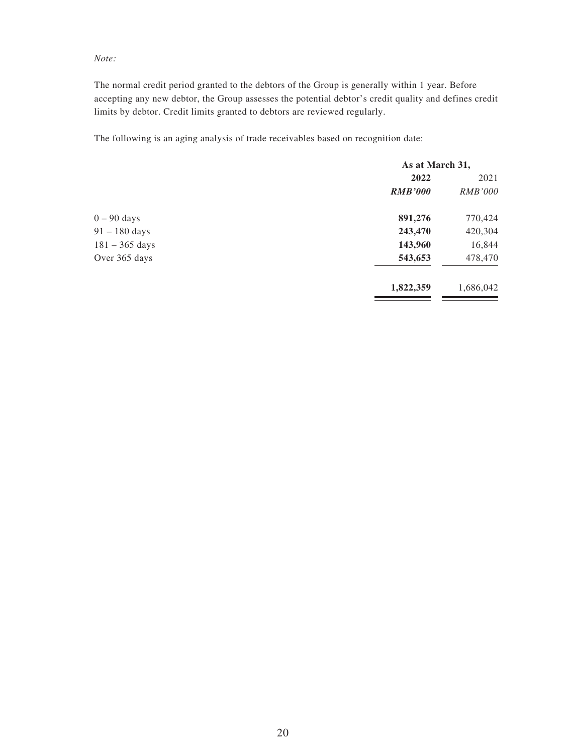#### *Note:*

The normal credit period granted to the debtors of the Group is generally within 1 year. Before accepting any new debtor, the Group assesses the potential debtor's credit quality and defines credit limits by debtor. Credit limits granted to debtors are reviewed regularly.

The following is an aging analysis of trade receivables based on recognition date:

|                  | As at March 31, |                |
|------------------|-----------------|----------------|
|                  | 2022            | 2021           |
|                  | <b>RMB'000</b>  | <i>RMB'000</i> |
| $0 - 90$ days    | 891,276         | 770,424        |
| $91 - 180$ days  | 243,470         | 420,304        |
| $181 - 365$ days | 143,960         | 16,844         |
| Over 365 days    | 543,653         | 478,470        |
|                  | 1,822,359       | 1,686,042      |
|                  |                 |                |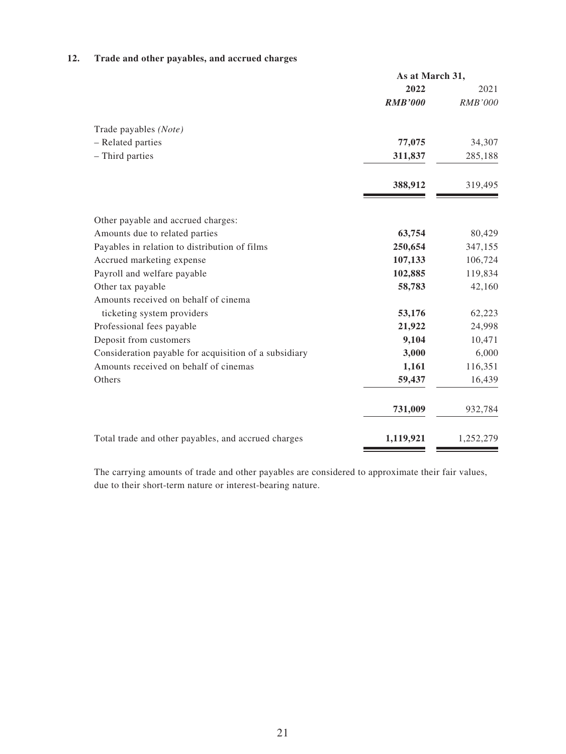### **12. Trade and other payables, and accrued charges**

|                                                       | As at March 31, |                |
|-------------------------------------------------------|-----------------|----------------|
|                                                       | 2022            | 2021           |
|                                                       | <b>RMB'000</b>  | <b>RMB'000</b> |
| Trade payables (Note)                                 |                 |                |
| - Related parties                                     | 77,075          | 34,307         |
| - Third parties                                       | 311,837         | 285,188        |
|                                                       | 388,912         | 319,495        |
| Other payable and accrued charges:                    |                 |                |
| Amounts due to related parties                        | 63,754          | 80,429         |
| Payables in relation to distribution of films         | 250,654         | 347,155        |
| Accrued marketing expense                             | 107,133         | 106,724        |
| Payroll and welfare payable                           | 102,885         | 119,834        |
| Other tax payable                                     | 58,783          | 42,160         |
| Amounts received on behalf of cinema                  |                 |                |
| ticketing system providers                            | 53,176          | 62,223         |
| Professional fees payable                             | 21,922          | 24,998         |
| Deposit from customers                                | 9,104           | 10,471         |
| Consideration payable for acquisition of a subsidiary | 3,000           | 6,000          |
| Amounts received on behalf of cinemas                 | 1,161           | 116,351        |
| Others                                                | 59,437          | 16,439         |
|                                                       | 731,009         | 932,784        |
| Total trade and other payables, and accrued charges   | 1,119,921       | 1,252,279      |

The carrying amounts of trade and other payables are considered to approximate their fair values, due to their short-term nature or interest-bearing nature.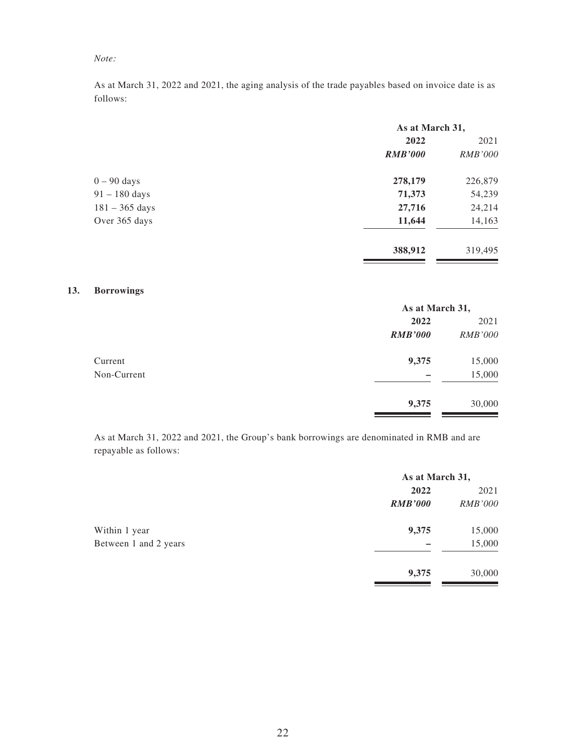### *Note:*

As at March 31, 2022 and 2021, the aging analysis of the trade payables based on invoice date is as follows:

|                  | As at March 31, |                |
|------------------|-----------------|----------------|
|                  | 2022            | 2021           |
|                  | <b>RMB'000</b>  | <i>RMB'000</i> |
| $0 - 90$ days    | 278,179         | 226,879        |
| $91 - 180$ days  | 71,373          | 54,239         |
| $181 - 365$ days | 27,716          | 24,214         |
| Over 365 days    | 11,644          | 14,163         |
|                  | 388,912         | 319,495        |

#### **13. Borrowings**

|             | As at March 31, |                |
|-------------|-----------------|----------------|
|             | 2022            | 2021           |
|             | <b>RMB'000</b>  | <b>RMB'000</b> |
| Current     | 9,375           | 15,000         |
| Non-Current |                 | 15,000         |
|             | 9,375           | 30,000         |

As at March 31, 2022 and 2021, the Group's bank borrowings are denominated in RMB and are repayable as follows:

|                       | As at March 31, |                |
|-----------------------|-----------------|----------------|
|                       | 2022            | 2021           |
|                       | <b>RMB'000</b>  | <i>RMB'000</i> |
| Within 1 year         | 9,375           | 15,000         |
| Between 1 and 2 years |                 | 15,000         |
|                       | 9,375           | 30,000         |
|                       |                 |                |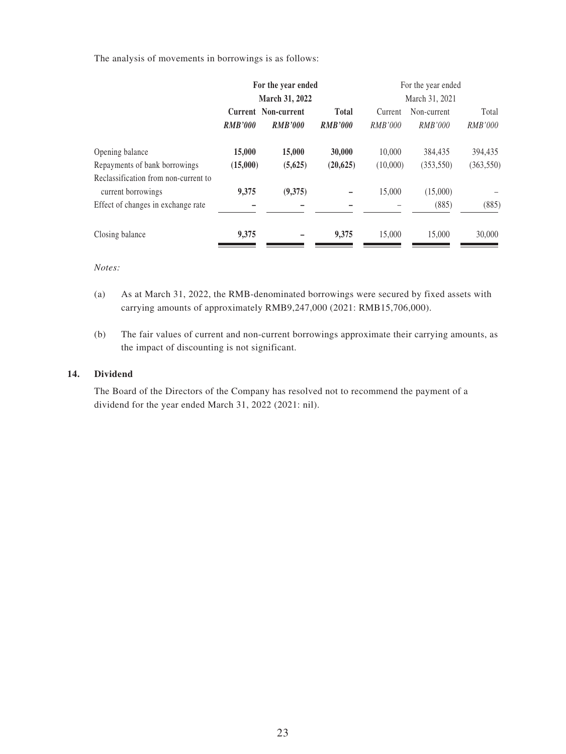The analysis of movements in borrowings is as follows:

|                                                            | For the year ended<br>March 31, 2022 |                                       |                                | For the year ended<br>March 31, 2021 |                        |                         |
|------------------------------------------------------------|--------------------------------------|---------------------------------------|--------------------------------|--------------------------------------|------------------------|-------------------------|
|                                                            |                                      |                                       |                                |                                      |                        |                         |
|                                                            | <b>RMB'000</b>                       | Current Non-current<br><b>RMB'000</b> | <b>Total</b><br><b>RMB'000</b> | Current<br>RMB'000                   | Non-current<br>RMB'000 | Total<br><i>RMB'000</i> |
| Opening balance                                            | 15,000                               | 15,000                                | 30,000                         | 10,000                               | 384,435                | 394,435                 |
| Repayments of bank borrowings                              | (15,000)                             | (5,625)                               | (20, 625)                      | (10,000)                             | (353, 550)             | (363, 550)              |
| Reclassification from non-current to<br>current borrowings | 9,375                                | (9,375)                               |                                | 15,000                               | (15,000)               |                         |
| Effect of changes in exchange rate                         |                                      |                                       |                                |                                      | (885)                  | (885)                   |
| Closing balance                                            | 9,375                                |                                       | 9.375                          | 15,000                               | 15,000                 | 30,000                  |

#### *Notes:*

- (a) As at March 31, 2022, the RMB-denominated borrowings were secured by fixed assets with carrying amounts of approximately RMB9,247,000 (2021: RMB15,706,000).
- (b) The fair values of current and non-current borrowings approximate their carrying amounts, as the impact of discounting is not significant.

#### **14. Dividend**

The Board of the Directors of the Company has resolved not to recommend the payment of a dividend for the year ended March 31, 2022 (2021: nil).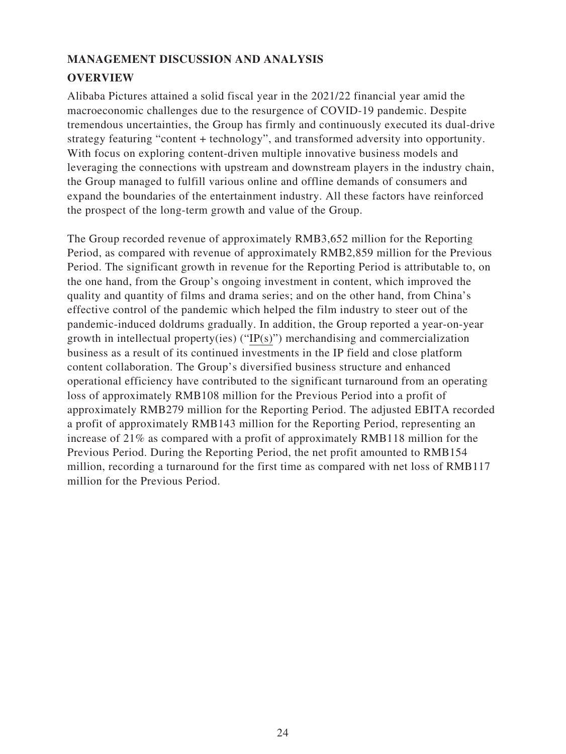# **MANAGEMENT DISCUSSION AND ANALYSIS**

# **OVERVIEW**

Alibaba Pictures attained a solid fiscal year in the 2021/22 financial year amid the macroeconomic challenges due to the resurgence of COVID-19 pandemic. Despite tremendous uncertainties, the Group has firmly and continuously executed its dual-drive strategy featuring "content + technology", and transformed adversity into opportunity. With focus on exploring content-driven multiple innovative business models and leveraging the connections with upstream and downstream players in the industry chain, the Group managed to fulfill various online and offline demands of consumers and expand the boundaries of the entertainment industry. All these factors have reinforced the prospect of the long-term growth and value of the Group.

The Group recorded revenue of approximately RMB3,652 million for the Reporting Period, as compared with revenue of approximately RMB2,859 million for the Previous Period. The significant growth in revenue for the Reporting Period is attributable to, on the one hand, from the Group's ongoing investment in content, which improved the quality and quantity of films and drama series; and on the other hand, from China's effective control of the pandemic which helped the film industry to steer out of the pandemic-induced doldrums gradually. In addition, the Group reported a year-on-year growth in intellectual property(ies) ("IP(s)") merchandising and commercialization business as a result of its continued investments in the IP field and close platform content collaboration. The Group's diversified business structure and enhanced operational efficiency have contributed to the significant turnaround from an operating loss of approximately RMB108 million for the Previous Period into a profit of approximately RMB279 million for the Reporting Period. The adjusted EBITA recorded a profit of approximately RMB143 million for the Reporting Period, representing an increase of 21% as compared with a profit of approximately RMB118 million for the Previous Period. During the Reporting Period, the net profit amounted to RMB154 million, recording a turnaround for the first time as compared with net loss of RMB117 million for the Previous Period.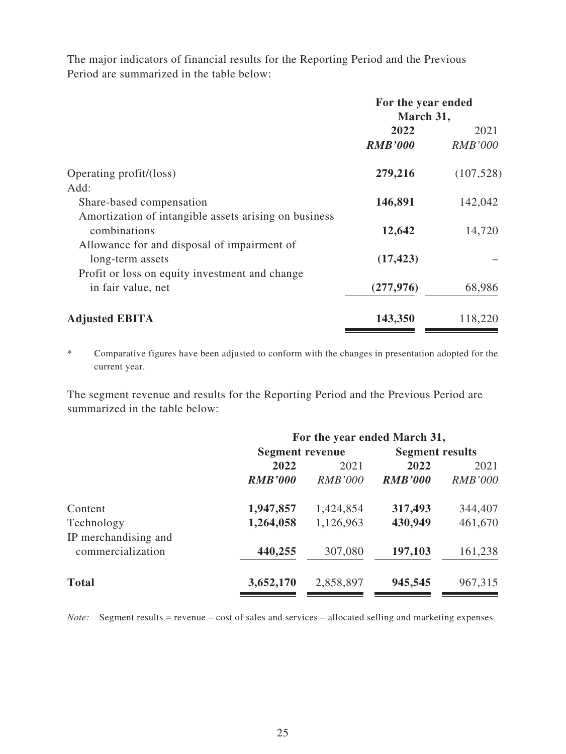The major indicators of financial results for the Reporting Period and the Previous Period are summarized in the table below:

|                                                                       | For the year ended<br>March 31, |                        |  |
|-----------------------------------------------------------------------|---------------------------------|------------------------|--|
|                                                                       | 2022<br><b>RMB'000</b>          | 2021<br><b>RMB'000</b> |  |
| Operating profit/(loss)                                               | 279,216                         | (107, 528)             |  |
| Add:                                                                  |                                 |                        |  |
| Share-based compensation                                              | 146,891                         | 142,042                |  |
| Amortization of intangible assets arising on business<br>combinations | 12,642                          | 14,720                 |  |
| Allowance for and disposal of impairment of<br>long-term assets       | (17, 423)                       |                        |  |
| Profit or loss on equity investment and change<br>in fair value, net  | (277, 976)                      | 68,986                 |  |
| <b>Adjusted EBITA</b>                                                 | 143,350                         | 118,220                |  |

\* Comparative figures have been adjusted to conform with the changes in presentation adopted for the current year.

The segment revenue and results for the Reporting Period and the Previous Period are summarized in the table below:

|                                           | For the year ended March 31, |                |                        |                |  |  |
|-------------------------------------------|------------------------------|----------------|------------------------|----------------|--|--|
|                                           | <b>Segment revenue</b>       |                | <b>Segment results</b> |                |  |  |
|                                           | 2022                         | 2021           | 2022                   | 2021           |  |  |
|                                           | <b>RMB'000</b>               | <i>RMB'000</i> | <b>RMB'000</b>         | <b>RMB'000</b> |  |  |
| Content                                   | 1,947,857                    | 1,424,854      | 317,493                | 344,407        |  |  |
| Technology                                | 1,264,058                    | 1,126,963      | 430,949                | 461,670        |  |  |
| IP merchandising and<br>commercialization | 440,255                      | 307,080        | 197,103                | 161,238        |  |  |
| <b>Total</b>                              | 3,652,170                    | 2,858,897      | 945,545                | 967,315        |  |  |

*Note:* Segment results = revenue – cost of sales and services – allocated selling and marketing expenses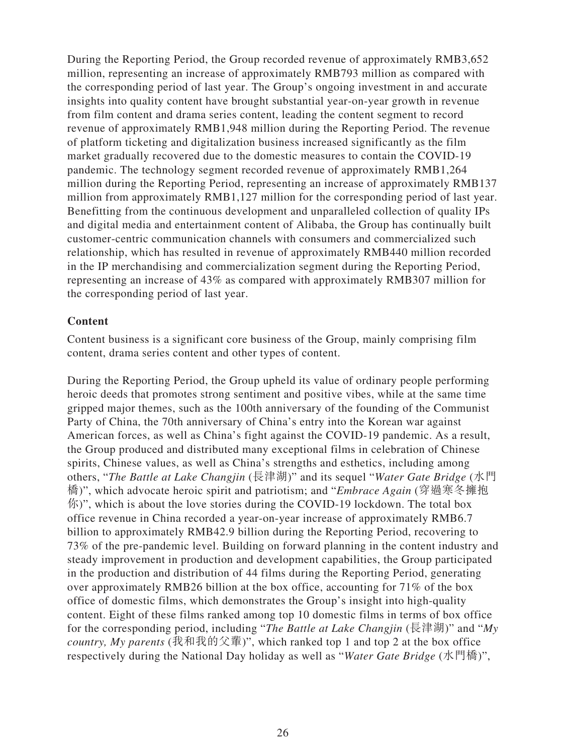During the Reporting Period, the Group recorded revenue of approximately RMB3,652 million, representing an increase of approximately RMB793 million as compared with the corresponding period of last year. The Group's ongoing investment in and accurate insights into quality content have brought substantial year-on-year growth in revenue from film content and drama series content, leading the content segment to record revenue of approximately RMB1,948 million during the Reporting Period. The revenue of platform ticketing and digitalization business increased significantly as the film market gradually recovered due to the domestic measures to contain the COVID-19 pandemic. The technology segment recorded revenue of approximately RMB1,264 million during the Reporting Period, representing an increase of approximately RMB137 million from approximately RMB1,127 million for the corresponding period of last year. Benefitting from the continuous development and unparalleled collection of quality IPs and digital media and entertainment content of Alibaba, the Group has continually built customer-centric communication channels with consumers and commercialized such relationship, which has resulted in revenue of approximately RMB440 million recorded in the IP merchandising and commercialization segment during the Reporting Period, representing an increase of 43% as compared with approximately RMB307 million for the corresponding period of last year.

### **Content**

Content business is a significant core business of the Group, mainly comprising film content, drama series content and other types of content.

During the Reporting Period, the Group upheld its value of ordinary people performing heroic deeds that promotes strong sentiment and positive vibes, while at the same time gripped major themes, such as the 100th anniversary of the founding of the Communist Party of China, the 70th anniversary of China's entry into the Korean war against American forces, as well as China's fight against the COVID-19 pandemic. As a result, the Group produced and distributed many exceptional films in celebration of Chinese spirits, Chinese values, as well as China's strengths and esthetics, including among others, "*The Battle at Lake Changjin* (長津湖)" and its sequel "*Water Gate Bridge* (水門 橋)", which advocate heroic spirit and patriotism; and "*Embrace Again* (穿過寒冬擁抱  $\langle \hat{F} \rangle$ ", which is about the love stories during the COVID-19 lockdown. The total box office revenue in China recorded a year-on-year increase of approximately RMB6.7 billion to approximately RMB42.9 billion during the Reporting Period, recovering to 73% of the pre-pandemic level. Building on forward planning in the content industry and steady improvement in production and development capabilities, the Group participated in the production and distribution of 44 films during the Reporting Period, generating over approximately RMB26 billion at the box office, accounting for 71% of the box office of domestic films, which demonstrates the Group's insight into high-quality content. Eight of these films ranked among top 10 domestic films in terms of box office for the corresponding period, including "*The Battle at Lake Changjin* (長津湖)" and "*My country, My parents* (我和我的父輩)", which ranked top 1 and top 2 at the box office respectively during the National Day holiday as well as "*Water Gate Bridge* (水門橋)",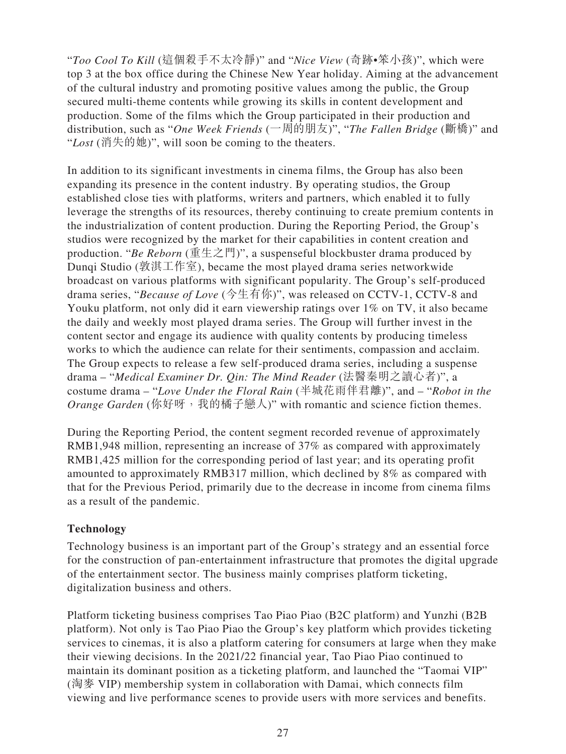"*Too Cool To Kill* (這個殺手不太冷靜)" and "*Nice View* (奇跡•笨小孩)", which were top 3 at the box office during the Chinese New Year holiday. Aiming at the advancement of the cultural industry and promoting positive values among the public, the Group secured multi-theme contents while growing its skills in content development and production. Some of the films which the Group participated in their production and distribution, such as "*One Week Friends* (一周的朋友)", "*The Fallen Bridge* (斷橋)" and "*Lost* (消失的她)", will soon be coming to the theaters.

In addition to its significant investments in cinema films, the Group has also been expanding its presence in the content industry. By operating studios, the Group established close ties with platforms, writers and partners, which enabled it to fully leverage the strengths of its resources, thereby continuing to create premium contents in the industrialization of content production. During the Reporting Period, the Group's studios were recognized by the market for their capabilities in content creation and production. "*Be Reborn* (重生之門)", a suspenseful blockbuster drama produced by Dunqi Studio (敦淇工作室), became the most played drama series networkwide broadcast on various platforms with significant popularity. The Group's self-produced drama series, "*Because of Love* (今生有你)", was released on CCTV-1, CCTV-8 and Youku platform, not only did it earn viewership ratings over 1% on TV, it also became the daily and weekly most played drama series. The Group will further invest in the content sector and engage its audience with quality contents by producing timeless works to which the audience can relate for their sentiments, compassion and acclaim. The Group expects to release a few self-produced drama series, including a suspense drama – "*Medical Examiner Dr. Qin: The Mind Reader* (法醫秦明之讀心者)", a costume drama – "*Love Under the Floral Rain* (半城花雨伴君離)", and – "*Robot in the*  Orange Garden (你好呀, 我的橘子戀人)" with romantic and science fiction themes.

During the Reporting Period, the content segment recorded revenue of approximately RMB1,948 million, representing an increase of 37% as compared with approximately RMB1,425 million for the corresponding period of last year; and its operating profit amounted to approximately RMB317 million, which declined by 8% as compared with that for the Previous Period, primarily due to the decrease in income from cinema films as a result of the pandemic.

## **Technology**

Technology business is an important part of the Group's strategy and an essential force for the construction of pan-entertainment infrastructure that promotes the digital upgrade of the entertainment sector. The business mainly comprises platform ticketing, digitalization business and others.

Platform ticketing business comprises Tao Piao Piao (B2C platform) and Yunzhi (B2B platform). Not only is Tao Piao Piao the Group's key platform which provides ticketing services to cinemas, it is also a platform catering for consumers at large when they make their viewing decisions. In the 2021/22 financial year, Tao Piao Piao continued to maintain its dominant position as a ticketing platform, and launched the "Taomai VIP" (淘麥 VIP) membership system in collaboration with Damai, which connects film viewing and live performance scenes to provide users with more services and benefits.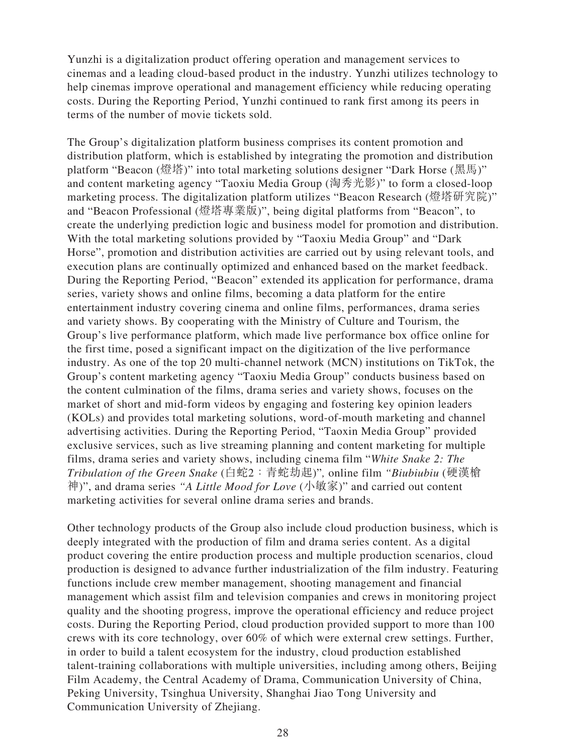Yunzhi is a digitalization product offering operation and management services to cinemas and a leading cloud-based product in the industry. Yunzhi utilizes technology to help cinemas improve operational and management efficiency while reducing operating costs. During the Reporting Period, Yunzhi continued to rank first among its peers in terms of the number of movie tickets sold.

The Group's digitalization platform business comprises its content promotion and distribution platform, which is established by integrating the promotion and distribution platform "Beacon (燈塔)" into total marketing solutions designer "Dark Horse (黑馬)" and content marketing agency "Taoxiu Media Group (淘秀光影)" to form a closed-loop marketing process. The digitalization platform utilizes "Beacon Research (燈塔研究院)" and "Beacon Professional (燈塔專業版)", being digital platforms from "Beacon", to create the underlying prediction logic and business model for promotion and distribution. With the total marketing solutions provided by "Taoxiu Media Group" and "Dark Horse", promotion and distribution activities are carried out by using relevant tools, and execution plans are continually optimized and enhanced based on the market feedback. During the Reporting Period, "Beacon" extended its application for performance, drama series, variety shows and online films, becoming a data platform for the entire entertainment industry covering cinema and online films, performances, drama series and variety shows. By cooperating with the Ministry of Culture and Tourism, the Group's live performance platform, which made live performance box office online for the first time, posed a significant impact on the digitization of the live performance industry. As one of the top 20 multi-channel network (MCN) institutions on TikTok, the Group's content marketing agency "Taoxiu Media Group" conducts business based on the content culmination of the films, drama series and variety shows, focuses on the market of short and mid-form videos by engaging and fostering key opinion leaders (KOLs) and provides total marketing solutions, word-of-mouth marketing and channel advertising activities. During the Reporting Period, "Taoxin Media Group" provided exclusive services, such as live streaming planning and content marketing for multiple films, drama series and variety shows, including cinema film "*White Snake 2: The Tribulation of the Green Snake* (白蛇2:青蛇劫起)"*,* online film *"Biubiubiu* (硬漢槍 神)", and drama series *"A Little Mood for Love* (小敏家)" and carried out content marketing activities for several online drama series and brands.

Other technology products of the Group also include cloud production business, which is deeply integrated with the production of film and drama series content. As a digital product covering the entire production process and multiple production scenarios, cloud production is designed to advance further industrialization of the film industry. Featuring functions include crew member management, shooting management and financial management which assist film and television companies and crews in monitoring project quality and the shooting progress, improve the operational efficiency and reduce project costs. During the Reporting Period, cloud production provided support to more than 100 crews with its core technology, over 60% of which were external crew settings. Further, in order to build a talent ecosystem for the industry, cloud production established talent-training collaborations with multiple universities, including among others, Beijing Film Academy, the Central Academy of Drama, Communication University of China, Peking University, Tsinghua University, Shanghai Jiao Tong University and Communication University of Zhejiang.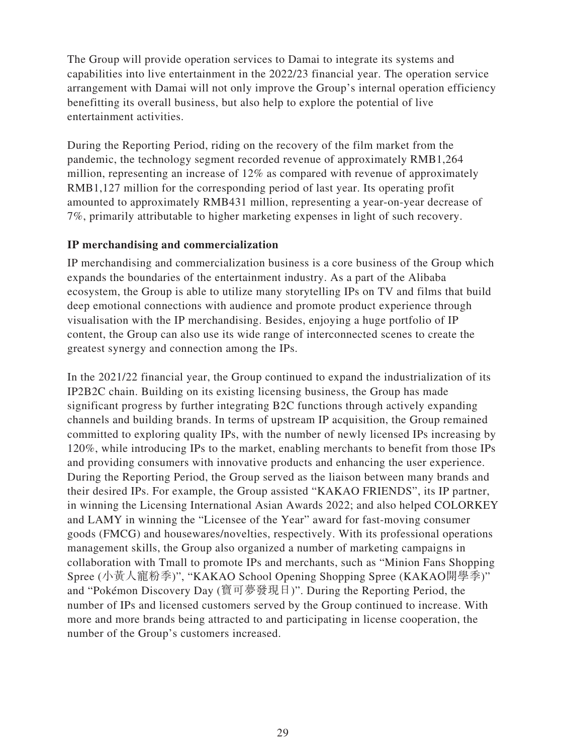The Group will provide operation services to Damai to integrate its systems and capabilities into live entertainment in the 2022/23 financial year. The operation service arrangement with Damai will not only improve the Group's internal operation efficiency benefitting its overall business, but also help to explore the potential of live entertainment activities.

During the Reporting Period, riding on the recovery of the film market from the pandemic, the technology segment recorded revenue of approximately RMB1,264 million, representing an increase of 12% as compared with revenue of approximately RMB1,127 million for the corresponding period of last year. Its operating profit amounted to approximately RMB431 million, representing a year-on-year decrease of 7%, primarily attributable to higher marketing expenses in light of such recovery.

## **IP merchandising and commercialization**

IP merchandising and commercialization business is a core business of the Group which expands the boundaries of the entertainment industry. As a part of the Alibaba ecosystem, the Group is able to utilize many storytelling IPs on TV and films that build deep emotional connections with audience and promote product experience through visualisation with the IP merchandising. Besides, enjoying a huge portfolio of IP content, the Group can also use its wide range of interconnected scenes to create the greatest synergy and connection among the IPs.

In the 2021/22 financial year, the Group continued to expand the industrialization of its IP2B2C chain. Building on its existing licensing business, the Group has made significant progress by further integrating B2C functions through actively expanding channels and building brands. In terms of upstream IP acquisition, the Group remained committed to exploring quality IPs, with the number of newly licensed IPs increasing by 120%, while introducing IPs to the market, enabling merchants to benefit from those IPs and providing consumers with innovative products and enhancing the user experience. During the Reporting Period, the Group served as the liaison between many brands and their desired IPs. For example, the Group assisted "KAKAO FRIENDS", its IP partner, in winning the Licensing International Asian Awards 2022; and also helped COLORKEY and LAMY in winning the "Licensee of the Year" award for fast-moving consumer goods (FMCG) and housewares/novelties, respectively. With its professional operations management skills, the Group also organized a number of marketing campaigns in collaboration with Tmall to promote IPs and merchants, such as "Minion Fans Shopping Spree (小黃人寵粉季)", "KAKAO School Opening Shopping Spree (KAKAO開學季)" and "Pokémon Discovery Day (寶可夢發現日)". During the Reporting Period, the number of IPs and licensed customers served by the Group continued to increase. With more and more brands being attracted to and participating in license cooperation, the number of the Group's customers increased.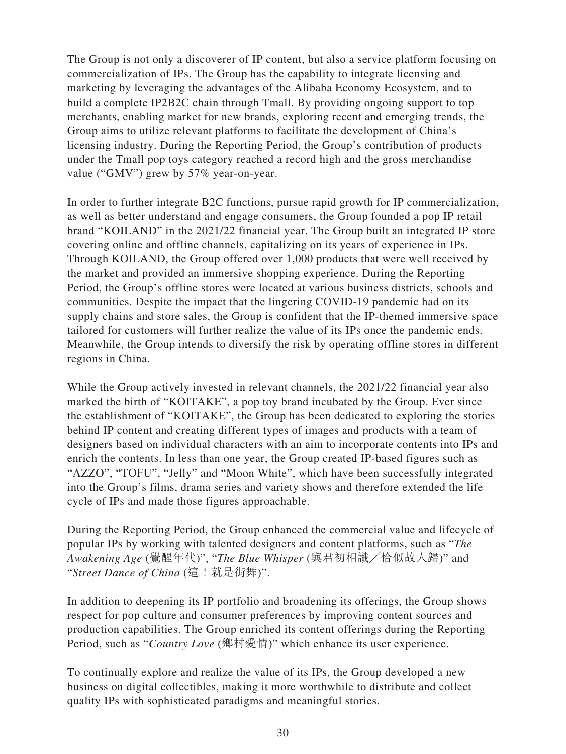The Group is not only a discoverer of IP content, but also a service platform focusing on commercialization of IPs. The Group has the capability to integrate licensing and marketing by leveraging the advantages of the Alibaba Economy Ecosystem, and to build a complete IP2B2C chain through Tmall. By providing ongoing support to top merchants, enabling market for new brands, exploring recent and emerging trends, the Group aims to utilize relevant platforms to facilitate the development of China's licensing industry. During the Reporting Period, the Group's contribution of products under the Tmall pop toys category reached a record high and the gross merchandise value ("GMV") grew by 57% year-on-year.

In order to further integrate B2C functions, pursue rapid growth for IP commercialization, as well as better understand and engage consumers, the Group founded a pop IP retail brand "KOILAND" in the 2021/22 financial year. The Group built an integrated IP store covering online and offline channels, capitalizing on its years of experience in IPs. Through KOILAND, the Group offered over 1,000 products that were well received by the market and provided an immersive shopping experience. During the Reporting Period, the Group's offline stores were located at various business districts, schools and communities. Despite the impact that the lingering COVID-19 pandemic had on its supply chains and store sales, the Group is confident that the IP-themed immersive space tailored for customers will further realize the value of its IPs once the pandemic ends. Meanwhile, the Group intends to diversify the risk by operating offline stores in different regions in China.

While the Group actively invested in relevant channels, the 2021/22 financial year also marked the birth of "KOITAKE", a pop toy brand incubated by the Group. Ever since the establishment of "KOITAKE", the Group has been dedicated to exploring the stories behind IP content and creating different types of images and products with a team of designers based on individual characters with an aim to incorporate contents into IPs and enrich the contents. In less than one year, the Group created IP-based figures such as "AZZO", "TOFU", "Jelly" and "Moon White", which have been successfully integrated into the Group's films, drama series and variety shows and therefore extended the life cycle of IPs and made those figures approachable.

During the Reporting Period, the Group enhanced the commercial value and lifecycle of popular IPs by working with talented designers and content platforms, such as "*The Awakening Age* (覺醒年代)", "*The Blue Whisper* (與君初相識╱恰似故人歸)" and "*Street Dance of China* (這!就是街舞)".

In addition to deepening its IP portfolio and broadening its offerings, the Group shows respect for pop culture and consumer preferences by improving content sources and production capabilities. The Group enriched its content offerings during the Reporting Period, such as "*Country Love* (鄉村愛情)" which enhance its user experience.

To continually explore and realize the value of its IPs, the Group developed a new business on digital collectibles, making it more worthwhile to distribute and collect quality IPs with sophisticated paradigms and meaningful stories.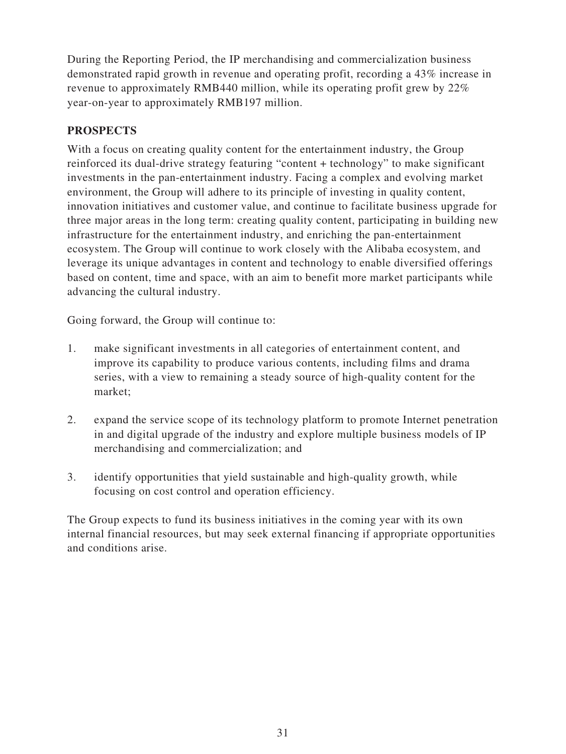During the Reporting Period, the IP merchandising and commercialization business demonstrated rapid growth in revenue and operating profit, recording a 43% increase in revenue to approximately RMB440 million, while its operating profit grew by 22% year-on-year to approximately RMB197 million.

# **PROSPECTS**

With a focus on creating quality content for the entertainment industry, the Group reinforced its dual-drive strategy featuring "content + technology" to make significant investments in the pan-entertainment industry. Facing a complex and evolving market environment, the Group will adhere to its principle of investing in quality content, innovation initiatives and customer value, and continue to facilitate business upgrade for three major areas in the long term: creating quality content, participating in building new infrastructure for the entertainment industry, and enriching the pan-entertainment ecosystem. The Group will continue to work closely with the Alibaba ecosystem, and leverage its unique advantages in content and technology to enable diversified offerings based on content, time and space, with an aim to benefit more market participants while advancing the cultural industry.

Going forward, the Group will continue to:

- 1. make significant investments in all categories of entertainment content, and improve its capability to produce various contents, including films and drama series, with a view to remaining a steady source of high-quality content for the market;
- 2. expand the service scope of its technology platform to promote Internet penetration in and digital upgrade of the industry and explore multiple business models of IP merchandising and commercialization; and
- 3. identify opportunities that yield sustainable and high-quality growth, while focusing on cost control and operation efficiency.

The Group expects to fund its business initiatives in the coming year with its own internal financial resources, but may seek external financing if appropriate opportunities and conditions arise.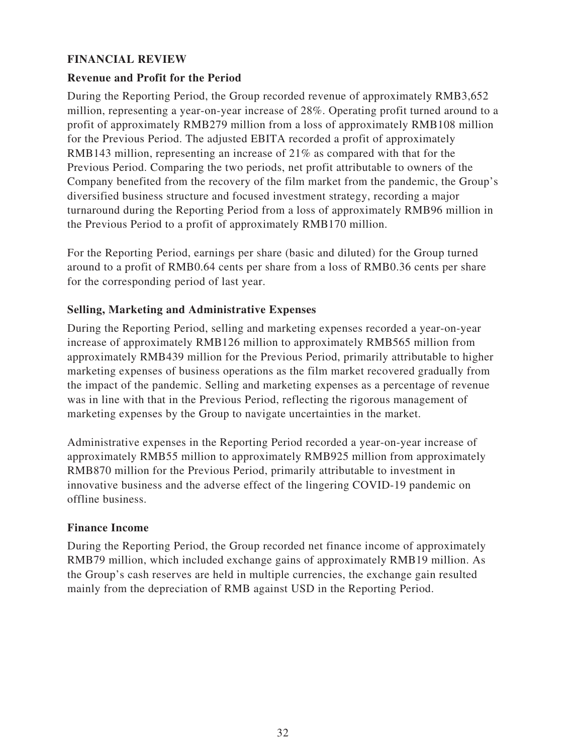## **FINANCIAL REVIEW**

## **Revenue and Profit for the Period**

During the Reporting Period, the Group recorded revenue of approximately RMB3,652 million, representing a year-on-year increase of 28%. Operating profit turned around to a profit of approximately RMB279 million from a loss of approximately RMB108 million for the Previous Period. The adjusted EBITA recorded a profit of approximately RMB143 million, representing an increase of 21% as compared with that for the Previous Period. Comparing the two periods, net profit attributable to owners of the Company benefited from the recovery of the film market from the pandemic, the Group's diversified business structure and focused investment strategy, recording a major turnaround during the Reporting Period from a loss of approximately RMB96 million in the Previous Period to a profit of approximately RMB170 million.

For the Reporting Period, earnings per share (basic and diluted) for the Group turned around to a profit of RMB0.64 cents per share from a loss of RMB0.36 cents per share for the corresponding period of last year.

## **Selling, Marketing and Administrative Expenses**

During the Reporting Period, selling and marketing expenses recorded a year-on-year increase of approximately RMB126 million to approximately RMB565 million from approximately RMB439 million for the Previous Period, primarily attributable to higher marketing expenses of business operations as the film market recovered gradually from the impact of the pandemic. Selling and marketing expenses as a percentage of revenue was in line with that in the Previous Period, reflecting the rigorous management of marketing expenses by the Group to navigate uncertainties in the market.

Administrative expenses in the Reporting Period recorded a year-on-year increase of approximately RMB55 million to approximately RMB925 million from approximately RMB870 million for the Previous Period, primarily attributable to investment in innovative business and the adverse effect of the lingering COVID-19 pandemic on offline business.

## **Finance Income**

During the Reporting Period, the Group recorded net finance income of approximately RMB79 million, which included exchange gains of approximately RMB19 million. As the Group's cash reserves are held in multiple currencies, the exchange gain resulted mainly from the depreciation of RMB against USD in the Reporting Period.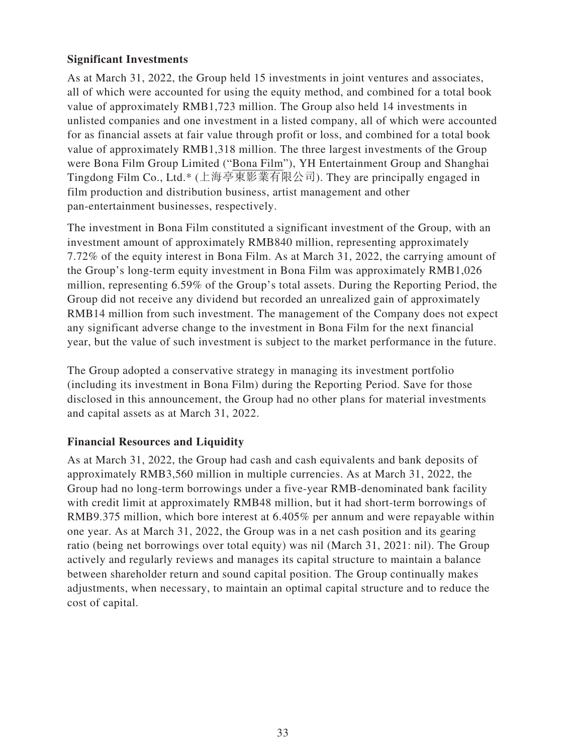## **Significant Investments**

As at March 31, 2022, the Group held 15 investments in joint ventures and associates, all of which were accounted for using the equity method, and combined for a total book value of approximately RMB1,723 million. The Group also held 14 investments in unlisted companies and one investment in a listed company, all of which were accounted for as financial assets at fair value through profit or loss, and combined for a total book value of approximately RMB1,318 million. The three largest investments of the Group were Bona Film Group Limited ("Bona Film"), YH Entertainment Group and Shanghai Tingdong Film Co., Ltd.\* (上海亭東影業有限公司). They are principally engaged in film production and distribution business, artist management and other pan-entertainment businesses, respectively.

The investment in Bona Film constituted a significant investment of the Group, with an investment amount of approximately RMB840 million, representing approximately 7.72% of the equity interest in Bona Film. As at March 31, 2022, the carrying amount of the Group's long-term equity investment in Bona Film was approximately RMB1,026 million, representing 6.59% of the Group's total assets. During the Reporting Period, the Group did not receive any dividend but recorded an unrealized gain of approximately RMB14 million from such investment. The management of the Company does not expect any significant adverse change to the investment in Bona Film for the next financial year, but the value of such investment is subject to the market performance in the future.

The Group adopted a conservative strategy in managing its investment portfolio (including its investment in Bona Film) during the Reporting Period. Save for those disclosed in this announcement, the Group had no other plans for material investments and capital assets as at March 31, 2022.

## **Financial Resources and Liquidity**

As at March 31, 2022, the Group had cash and cash equivalents and bank deposits of approximately RMB3,560 million in multiple currencies. As at March 31, 2022, the Group had no long-term borrowings under a five-year RMB-denominated bank facility with credit limit at approximately RMB48 million, but it had short-term borrowings of RMB9.375 million, which bore interest at 6.405% per annum and were repayable within one year. As at March 31, 2022, the Group was in a net cash position and its gearing ratio (being net borrowings over total equity) was nil (March 31, 2021: nil). The Group actively and regularly reviews and manages its capital structure to maintain a balance between shareholder return and sound capital position. The Group continually makes adjustments, when necessary, to maintain an optimal capital structure and to reduce the cost of capital.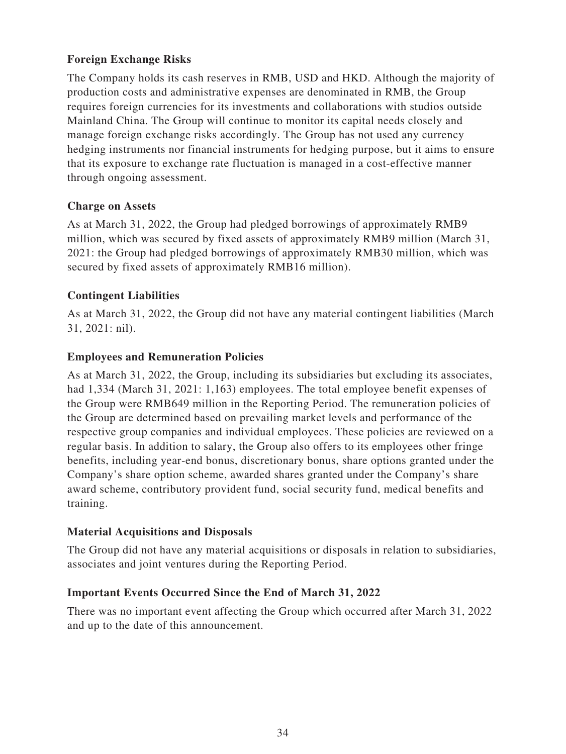# **Foreign Exchange Risks**

The Company holds its cash reserves in RMB, USD and HKD. Although the majority of production costs and administrative expenses are denominated in RMB, the Group requires foreign currencies for its investments and collaborations with studios outside Mainland China. The Group will continue to monitor its capital needs closely and manage foreign exchange risks accordingly. The Group has not used any currency hedging instruments nor financial instruments for hedging purpose, but it aims to ensure that its exposure to exchange rate fluctuation is managed in a cost-effective manner through ongoing assessment.

## **Charge on Assets**

As at March 31, 2022, the Group had pledged borrowings of approximately RMB9 million, which was secured by fixed assets of approximately RMB9 million (March 31, 2021: the Group had pledged borrowings of approximately RMB30 million, which was secured by fixed assets of approximately RMB16 million).

# **Contingent Liabilities**

As at March 31, 2022, the Group did not have any material contingent liabilities (March 31, 2021: nil).

## **Employees and Remuneration Policies**

As at March 31, 2022, the Group, including its subsidiaries but excluding its associates, had 1,334 (March 31, 2021: 1,163) employees. The total employee benefit expenses of the Group were RMB649 million in the Reporting Period. The remuneration policies of the Group are determined based on prevailing market levels and performance of the respective group companies and individual employees. These policies are reviewed on a regular basis. In addition to salary, the Group also offers to its employees other fringe benefits, including year-end bonus, discretionary bonus, share options granted under the Company's share option scheme, awarded shares granted under the Company's share award scheme, contributory provident fund, social security fund, medical benefits and training.

## **Material Acquisitions and Disposals**

The Group did not have any material acquisitions or disposals in relation to subsidiaries, associates and joint ventures during the Reporting Period.

## **Important Events Occurred Since the End of March 31, 2022**

There was no important event affecting the Group which occurred after March 31, 2022 and up to the date of this announcement.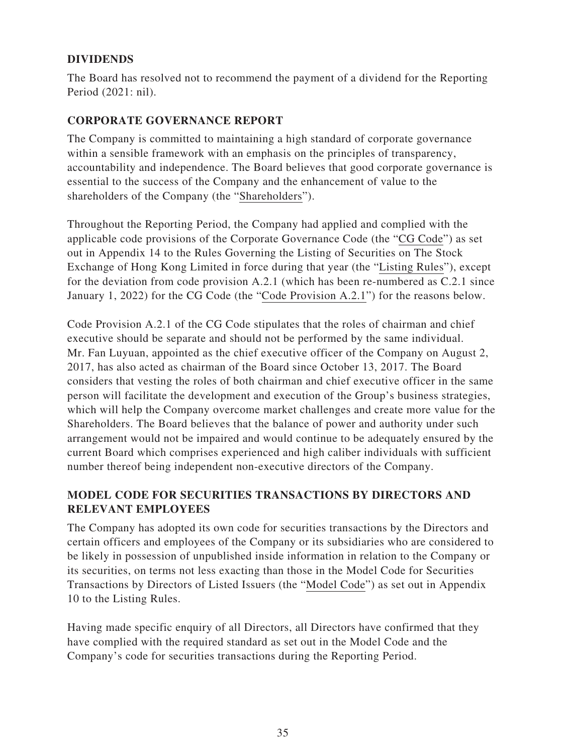# **DIVIDENDS**

The Board has resolved not to recommend the payment of a dividend for the Reporting Period (2021: nil).

# **CORPORATE GOVERNANCE REPORT**

The Company is committed to maintaining a high standard of corporate governance within a sensible framework with an emphasis on the principles of transparency, accountability and independence. The Board believes that good corporate governance is essential to the success of the Company and the enhancement of value to the shareholders of the Company (the "Shareholders").

Throughout the Reporting Period, the Company had applied and complied with the applicable code provisions of the Corporate Governance Code (the "CG Code") as set out in Appendix 14 to the Rules Governing the Listing of Securities on The Stock Exchange of Hong Kong Limited in force during that year (the "Listing Rules"), except for the deviation from code provision A.2.1 (which has been re-numbered as C.2.1 since January 1, 2022) for the CG Code (the "Code Provision A.2.1") for the reasons below.

Code Provision A.2.1 of the CG Code stipulates that the roles of chairman and chief executive should be separate and should not be performed by the same individual. Mr. Fan Luyuan, appointed as the chief executive officer of the Company on August 2, 2017, has also acted as chairman of the Board since October 13, 2017. The Board considers that vesting the roles of both chairman and chief executive officer in the same person will facilitate the development and execution of the Group's business strategies, which will help the Company overcome market challenges and create more value for the Shareholders. The Board believes that the balance of power and authority under such arrangement would not be impaired and would continue to be adequately ensured by the current Board which comprises experienced and high caliber individuals with sufficient number thereof being independent non-executive directors of the Company.

# **MODEL CODE FOR SECURITIES TRANSACTIONS BY DIRECTORS AND RELEVANT EMPLOYEES**

The Company has adopted its own code for securities transactions by the Directors and certain officers and employees of the Company or its subsidiaries who are considered to be likely in possession of unpublished inside information in relation to the Company or its securities, on terms not less exacting than those in the Model Code for Securities Transactions by Directors of Listed Issuers (the "Model Code") as set out in Appendix 10 to the Listing Rules.

Having made specific enquiry of all Directors, all Directors have confirmed that they have complied with the required standard as set out in the Model Code and the Company's code for securities transactions during the Reporting Period.